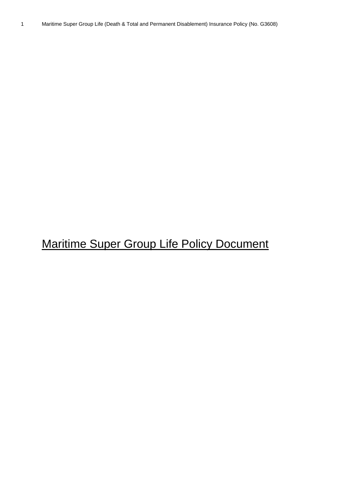# Maritime Super Group Life Policy Document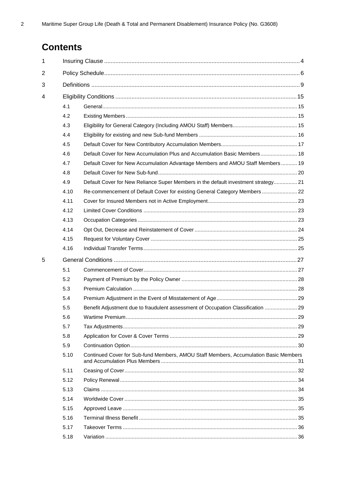# **Contents**

| $\mathbf 1$ |      |                                                                                      |    |  |  |  |  |  |
|-------------|------|--------------------------------------------------------------------------------------|----|--|--|--|--|--|
| 2           |      |                                                                                      |    |  |  |  |  |  |
| 3           |      |                                                                                      |    |  |  |  |  |  |
| 4           |      |                                                                                      |    |  |  |  |  |  |
|             | 4.1  |                                                                                      |    |  |  |  |  |  |
|             | 4.2  |                                                                                      |    |  |  |  |  |  |
|             | 4.3  |                                                                                      |    |  |  |  |  |  |
|             | 4.4  |                                                                                      |    |  |  |  |  |  |
|             | 4.5  |                                                                                      |    |  |  |  |  |  |
|             | 4.6  | Default Cover for New Accumulation Plus and Accumulation Basic Members 18            |    |  |  |  |  |  |
|             | 4.7  | Default Cover for New Accumulation Advantage Members and AMOU Staff Members 19       |    |  |  |  |  |  |
|             | 4.8  |                                                                                      |    |  |  |  |  |  |
|             | 4.9  | Default Cover for New Reliance Super Members in the default investment strategy 21   |    |  |  |  |  |  |
|             | 4.10 | Re-commencement of Default Cover for existing General Category Members  22           |    |  |  |  |  |  |
|             | 4.11 |                                                                                      |    |  |  |  |  |  |
|             | 4.12 |                                                                                      |    |  |  |  |  |  |
|             | 4.13 |                                                                                      |    |  |  |  |  |  |
|             | 4.14 |                                                                                      |    |  |  |  |  |  |
|             | 4.15 |                                                                                      |    |  |  |  |  |  |
|             | 4.16 |                                                                                      |    |  |  |  |  |  |
| 5           |      |                                                                                      |    |  |  |  |  |  |
|             | 5.1  |                                                                                      |    |  |  |  |  |  |
|             | 5.2  |                                                                                      |    |  |  |  |  |  |
|             | 5.3  |                                                                                      |    |  |  |  |  |  |
|             | 5.4  |                                                                                      |    |  |  |  |  |  |
|             | 5.5  | Benefit Adjustment due to fraudulent assessment of Occupation Classification  29     |    |  |  |  |  |  |
|             | 5.6  | Wartime Premium                                                                      | 29 |  |  |  |  |  |
|             | 5.7  |                                                                                      |    |  |  |  |  |  |
|             | 5.8  |                                                                                      |    |  |  |  |  |  |
|             | 5.9  |                                                                                      |    |  |  |  |  |  |
|             | 5.10 | Continued Cover for Sub-fund Members, AMOU Staff Members, Accumulation Basic Members |    |  |  |  |  |  |
|             | 5.11 |                                                                                      |    |  |  |  |  |  |
|             | 5.12 |                                                                                      |    |  |  |  |  |  |
|             | 5.13 |                                                                                      |    |  |  |  |  |  |
|             | 5.14 |                                                                                      |    |  |  |  |  |  |
|             | 5.15 |                                                                                      |    |  |  |  |  |  |
|             | 5.16 |                                                                                      |    |  |  |  |  |  |
|             | 5.17 |                                                                                      |    |  |  |  |  |  |
|             | 5.18 |                                                                                      |    |  |  |  |  |  |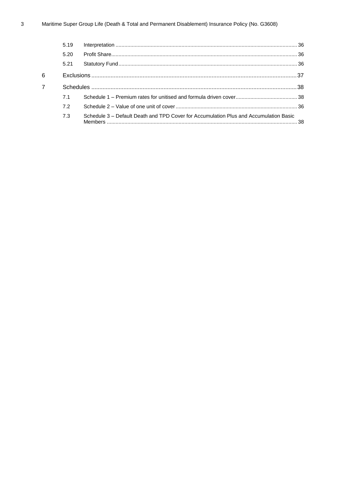|                | 5.19 |                                                                                       |  |
|----------------|------|---------------------------------------------------------------------------------------|--|
|                | 5.20 |                                                                                       |  |
|                | 5.21 |                                                                                       |  |
| 6              |      |                                                                                       |  |
| $\overline{7}$ |      |                                                                                       |  |
|                | 7.1  |                                                                                       |  |
|                | 7.2  |                                                                                       |  |
|                | 7.3  | Schedule 3 – Default Death and TPD Cover for Accumulation Plus and Accumulation Basic |  |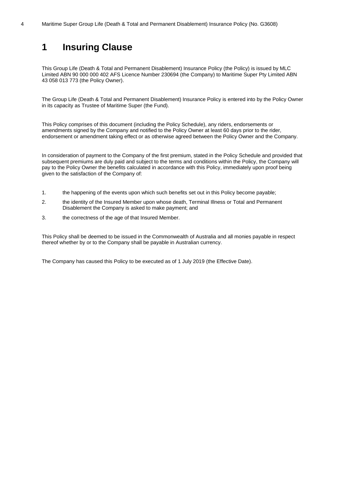# <span id="page-3-0"></span>**1 Insuring Clause**

This Group Life (Death & Total and Permanent Disablement) Insurance Policy (the Policy) is issued by MLC Limited ABN 90 000 000 402 AFS Licence Number 230694 (the Company) to Maritime Super Pty Limited ABN 43 058 013 773 (the Policy Owner).

The Group Life (Death & Total and Permanent Disablement) Insurance Policy is entered into by the Policy Owner in its capacity as Trustee of Maritime Super (the Fund).

This Policy comprises of this document (including the Policy Schedule), any riders, endorsements or amendments signed by the Company and notified to the Policy Owner at least 60 days prior to the rider, endorsement or amendment taking effect or as otherwise agreed between the Policy Owner and the Company.

In consideration of payment to the Company of the first premium, stated in the Policy Schedule and provided that subsequent premiums are duly paid and subject to the terms and conditions within the Policy, the Company will pay to the Policy Owner the benefits calculated in accordance with this Policy, immediately upon proof being given to the satisfaction of the Company of:

- 1. the happening of the events upon which such benefits set out in this Policy become payable;
- 2. the identity of the Insured Member upon whose death, Terminal Illness or Total and Permanent Disablement the Company is asked to make payment; and
- 3. the correctness of the age of that Insured Member.

This Policy shall be deemed to be issued in the Commonwealth of Australia and all monies payable in respect thereof whether by or to the Company shall be payable in Australian currency.

The Company has caused this Policy to be executed as of 1 July 2019 (the Effective Date).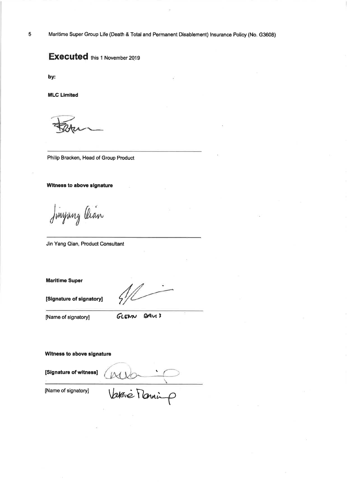Maritime Super Group Life (Death & Total and Permanent Disablement) Insurance Policy (No. G3608)

# **Executed** this 1 November 2019

by:

**MLC Limited** 

Philip Bracken, Head of Group Product

Witness to above signature

Jinyang Oian

Jin Yang Qian, Product Consultant

**Maritime Super** 

[Signature of signatory]

[Name of signatory]

GLENN DAVIS

Witness to above signature

Allen 1 [Signature of witness]

[Name of signatory]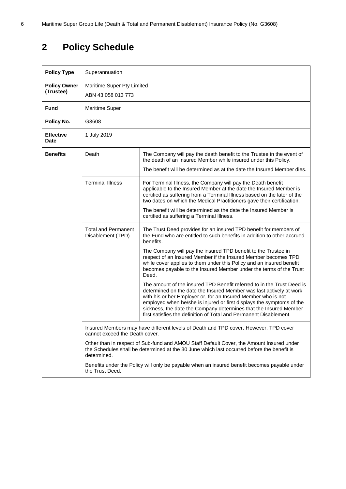# <span id="page-5-0"></span>**2 Policy Schedule**

| <b>Policy Type</b>               | Superannuation                                                                                                                                                                                                                                                                                                      |                                                                                                                                                                                                                                                                                                                                                                                                                                    |  |  |  |  |  |  |
|----------------------------------|---------------------------------------------------------------------------------------------------------------------------------------------------------------------------------------------------------------------------------------------------------------------------------------------------------------------|------------------------------------------------------------------------------------------------------------------------------------------------------------------------------------------------------------------------------------------------------------------------------------------------------------------------------------------------------------------------------------------------------------------------------------|--|--|--|--|--|--|
| <b>Policy Owner</b><br>(Trustee) | ABN 43 058 013 773                                                                                                                                                                                                                                                                                                  | Maritime Super Pty Limited                                                                                                                                                                                                                                                                                                                                                                                                         |  |  |  |  |  |  |
| <b>Fund</b>                      | <b>Maritime Super</b>                                                                                                                                                                                                                                                                                               |                                                                                                                                                                                                                                                                                                                                                                                                                                    |  |  |  |  |  |  |
| Policy No.                       | G3608                                                                                                                                                                                                                                                                                                               |                                                                                                                                                                                                                                                                                                                                                                                                                                    |  |  |  |  |  |  |
| <b>Effective</b><br>Date         | 1 July 2019                                                                                                                                                                                                                                                                                                         |                                                                                                                                                                                                                                                                                                                                                                                                                                    |  |  |  |  |  |  |
| <b>Benefits</b><br>Death         |                                                                                                                                                                                                                                                                                                                     | The Company will pay the death benefit to the Trustee in the event of<br>the death of an Insured Member while insured under this Policy.                                                                                                                                                                                                                                                                                           |  |  |  |  |  |  |
|                                  |                                                                                                                                                                                                                                                                                                                     | The benefit will be determined as at the date the Insured Member dies.                                                                                                                                                                                                                                                                                                                                                             |  |  |  |  |  |  |
|                                  | <b>Terminal Illness</b><br>For Terminal Illness, the Company will pay the Death benefit<br>applicable to the Insured Member at the date the Insured Member is<br>certified as suffering from a Terminal Illness based on the later of the<br>two dates on which the Medical Practitioners gave their certification. |                                                                                                                                                                                                                                                                                                                                                                                                                                    |  |  |  |  |  |  |
|                                  |                                                                                                                                                                                                                                                                                                                     | The benefit will be determined as the date the Insured Member is<br>certified as suffering a Terminal Illness.                                                                                                                                                                                                                                                                                                                     |  |  |  |  |  |  |
|                                  | <b>Total and Permanent</b><br>Disablement (TPD)                                                                                                                                                                                                                                                                     | The Trust Deed provides for an insured TPD benefit for members of<br>the Fund who are entitled to such benefits in addition to other accrued<br>benefits.                                                                                                                                                                                                                                                                          |  |  |  |  |  |  |
|                                  |                                                                                                                                                                                                                                                                                                                     | The Company will pay the insured TPD benefit to the Trustee in<br>respect of an Insured Member if the Insured Member becomes TPD<br>while cover applies to them under this Policy and an insured benefit<br>becomes payable to the Insured Member under the terms of the Trust<br>Deed.                                                                                                                                            |  |  |  |  |  |  |
|                                  |                                                                                                                                                                                                                                                                                                                     | The amount of the insured TPD Benefit referred to in the Trust Deed is<br>determined on the date the Insured Member was last actively at work<br>with his or her Employer or, for an Insured Member who is not<br>employed when he/she is injured or first displays the symptoms of the<br>sickness, the date the Company determines that the Insured Member<br>first satisfies the definition of Total and Permanent Disablement. |  |  |  |  |  |  |
|                                  | Insured Members may have different levels of Death and TPD cover. However, TPD cover<br>cannot exceed the Death cover.                                                                                                                                                                                              |                                                                                                                                                                                                                                                                                                                                                                                                                                    |  |  |  |  |  |  |
|                                  | Other than in respect of Sub-fund and AMOU Staff Default Cover, the Amount Insured under<br>the Schedules shall be determined at the 30 June which last occurred before the benefit is                                                                                                                              |                                                                                                                                                                                                                                                                                                                                                                                                                                    |  |  |  |  |  |  |
|                                  | Benefits under the Policy will only be payable when an insured benefit becomes payable under                                                                                                                                                                                                                        |                                                                                                                                                                                                                                                                                                                                                                                                                                    |  |  |  |  |  |  |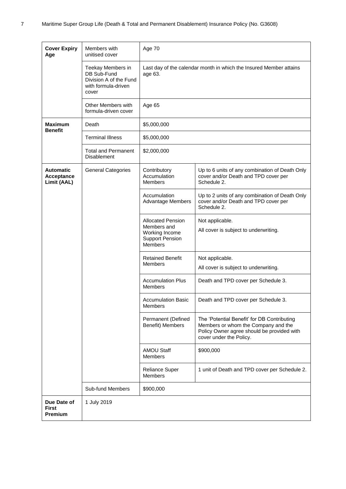| <b>Cover Expiry</b><br>Age                    | Members with<br>unitised cover                                                             | Age 70<br>Last day of the calendar month in which the Insured Member attains<br>age 63.               |                                                                                                                                                             |  |  |  |
|-----------------------------------------------|--------------------------------------------------------------------------------------------|-------------------------------------------------------------------------------------------------------|-------------------------------------------------------------------------------------------------------------------------------------------------------------|--|--|--|
|                                               | Teekay Members in<br>DB Sub-Fund<br>Division A of the Fund<br>with formula-driven<br>cover |                                                                                                       |                                                                                                                                                             |  |  |  |
|                                               | Other Members with<br>formula-driven cover                                                 | Age 65                                                                                                |                                                                                                                                                             |  |  |  |
| <b>Maximum</b><br><b>Benefit</b>              | Death                                                                                      | \$5,000,000                                                                                           |                                                                                                                                                             |  |  |  |
|                                               | <b>Terminal Illness</b>                                                                    | \$5,000,000                                                                                           |                                                                                                                                                             |  |  |  |
|                                               | <b>Total and Permanent</b><br><b>Disablement</b>                                           | \$2,000,000                                                                                           |                                                                                                                                                             |  |  |  |
| <b>Automatic</b><br>Acceptance<br>Limit (AAL) | <b>General Categories</b>                                                                  | Contributory<br>Accumulation<br><b>Members</b>                                                        | Up to 6 units of any combination of Death Only<br>cover and/or Death and TPD cover per<br>Schedule 2.                                                       |  |  |  |
|                                               |                                                                                            | Accumulation<br><b>Advantage Members</b>                                                              | Up to 2 units of any combination of Death Only<br>cover and/or Death and TPD cover per<br>Schedule 2.                                                       |  |  |  |
|                                               |                                                                                            | <b>Allocated Pension</b><br>Members and<br>Working Income<br><b>Support Pension</b><br><b>Members</b> | Not applicable.<br>All cover is subject to underwriting.                                                                                                    |  |  |  |
|                                               |                                                                                            | <b>Retained Benefit</b><br><b>Members</b>                                                             | Not applicable.<br>All cover is subject to underwriting.                                                                                                    |  |  |  |
|                                               |                                                                                            | <b>Accumulation Plus</b><br><b>Members</b>                                                            | Death and TPD cover per Schedule 3.                                                                                                                         |  |  |  |
|                                               |                                                                                            | <b>Accumulation Basic</b><br><b>Members</b>                                                           | Death and TPD cover per Schedule 3.                                                                                                                         |  |  |  |
|                                               |                                                                                            | Permanent (Defined<br>Benefit) Members                                                                | The 'Potential Benefit' for DB Contributing<br>Members or whom the Company and the<br>Policy Owner agree should be provided with<br>cover under the Policy. |  |  |  |
|                                               |                                                                                            | <b>AMOU Staff</b><br><b>Members</b>                                                                   | \$900,000                                                                                                                                                   |  |  |  |
|                                               |                                                                                            | Reliance Super<br><b>Members</b>                                                                      | 1 unit of Death and TPD cover per Schedule 2.                                                                                                               |  |  |  |
|                                               | Sub-fund Members                                                                           | \$900,000                                                                                             |                                                                                                                                                             |  |  |  |
| Due Date of<br><b>First</b><br><b>Premium</b> | 1 July 2019                                                                                |                                                                                                       |                                                                                                                                                             |  |  |  |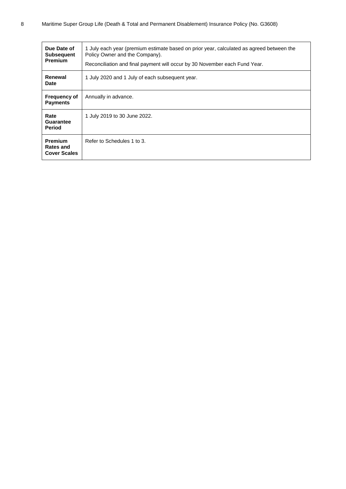| Due Date of<br><b>Subsequent</b><br><b>Premium</b>        | 1 July each year (premium estimate based on prior year, calculated as agreed between the<br>Policy Owner and the Company).<br>Reconciliation and final payment will occur by 30 November each Fund Year. |
|-----------------------------------------------------------|----------------------------------------------------------------------------------------------------------------------------------------------------------------------------------------------------------|
| Renewal<br><b>Date</b>                                    | 1 July 2020 and 1 July of each subsequent year.                                                                                                                                                          |
| <b>Frequency of</b><br><b>Payments</b>                    | Annually in advance.                                                                                                                                                                                     |
| Rate<br>Guarantee<br>Period                               | 1 July 2019 to 30 June 2022.                                                                                                                                                                             |
| <b>Premium</b><br><b>Rates and</b><br><b>Cover Scales</b> | Refer to Schedules 1 to 3.                                                                                                                                                                               |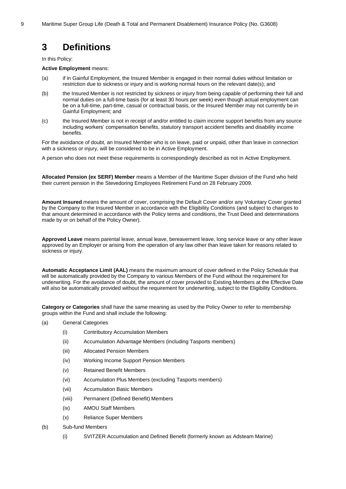# <span id="page-8-0"></span>**3 Definitions**

In this Policy:

#### **Active Employment** means:

- (a) if in Gainful Employment, the Insured Member is engaged in their normal duties without limitation or restriction due to sickness or injury and is working normal hours on the relevant date(s); and
- (b) the Insured Member is not restricted by sickness or injury from being capable of performing their full and normal duties on a full-time basis (for at least 30 hours per week) even though actual employment can be on a full-time, part-time, casual or contractual basis, or the Insured Member may not currently be in Gainful Employment; and
- (c) the Insured Member is not in receipt of and/or entitled to claim income support benefits from any source including workers' compensation benefits, statutory transport accident benefits and disability income benefits.

For the avoidance of doubt, an Insured Member who is on leave, paid or unpaid, other than leave in connection with a sickness or injury, will be considered to be in Active Employment.

A person who does not meet these requirements is correspondingly described as not in Active Employment.

**Allocated Pension (ex SERF) Member** means a Member of the Maritime Super division of the Fund who held their current pension in the Stevedoring Employees Retirement Fund on 28 February 2009.

**Amount Insured** means the amount of cover, comprising the Default Cover and/or any Voluntary Cover granted by the Company to the Insured Member in accordance with the Eligibility Conditions (and subject to changes to that amount determined in accordance with the Policy terms and conditions, the Trust Deed and determinations made by or on behalf of the Policy Owner).

**Approved Leave** means parental leave, annual leave, bereavement leave, long service leave or any other leave approved by an Employer or arising from the operation of any law other than leave taken for reasons related to sickness or injury.

**Automatic Acceptance Limit (AAL)** means the maximum amount of cover defined in the Policy Schedule that will be automatically provided by the Company to various Members of the Fund without the requirement for underwriting. For the avoidance of doubt, the amount of cover provided to Existing Members at the Effective Date will also be automatically provided without the requirement for underwriting, subject to the Eligibility Conditions.

**Category or Categories** shall have the same meaning as used by the Policy Owner to refer to membership groups within the Fund and shall include the following:

- (a) General Categories
	- (i) Contributory Accumulation Members
	- (ii) Accumulation Advantage Members (including Tasports members)
	- (iii) Allocated Pension Members
	- (iv) Working Income Support Pension Members
	- (v) Retained Benefit Members
	- (vi) Accumulation Plus Members (excluding Tasports members)
	- (vii) Accumulation Basic Members
	- (viii) Permanent (Defined Benefit) Members
	- (ix) AMOU Staff Members
	- (x) Reliance Super Members
- (b) Sub-fund Members
	- (i) SVITZER Accumulation and Defined Benefit (formerly known as Adsteam Marine)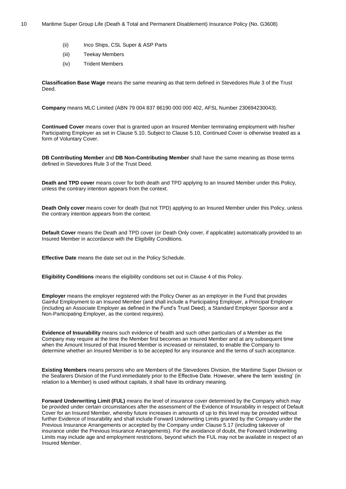- (ii) Inco Ships, CSL Super & ASP Parts
- (iii) Teekay Members
- (iv) Trident Members

**Classification Base Wage** means the same meaning as that term defined in Stevedores Rule 3 of the Trust Deed.

**Company** means MLC Limited (ABN 79 004 837 86190 000 000 402, AFSL Number 230694230043).

**Continued Cover** means cover that is granted upon an Insured Member terminating employment with his/her Participating Employer as set in Clause [5.10.](#page-30-0) Subject to Clause [5.10,](#page-30-0) Continued Cover is otherwise treated as a form of Voluntary Cover.

**DB Contributing Member** and **DB Non-Contributing Member** shall have the same meaning as those terms defined in Stevedores Rule 3 of the Trust Deed.

**Death and TPD cover** means cover for both death and TPD applying to an Insured Member under this Policy, unless the contrary intention appears from the context.

**Death Only cover** means cover for death (but not TPD) applying to an Insured Member under this Policy, unless the contrary intention appears from the context.

**Default Cover** means the Death and TPD cover (or Death Only cover, if applicable) automatically provided to an Insured Member in accordance with the Eligibility Conditions.

**Effective Date** means the date set out in the Policy Schedule.

**Eligibility Conditions** means the eligibility conditions set out in Clause [4](#page-14-0) of this Policy.

**Employer** means the employer registered with the Policy Owner as an employer in the Fund that provides Gainful Employment to an Insured Member (and shall include a Participating Employer, a Principal Employer (including an Associate Employer as defined in the Fund's Trust Deed), a Standard Employer Sponsor and a Non-Participating Employer, as the context requires).

**Evidence of Insurability** means such evidence of health and such other particulars of a Member as the Company may require at the time the Member first becomes an Insured Member and at any subsequent time when the Amount Insured of that Insured Member is increased or reinstated, to enable the Company to determine whether an Insured Member is to be accepted for any insurance and the terms of such acceptance.

**Existing Members** means persons who are Members of the Stevedores Division, the Maritime Super Division or the Seafarers Division of the Fund immediately prior to the Effective Date. However, where the term 'existing' (in relation to a Member) is used without capitals, it shall have its ordinary meaning.

**Forward Underwriting Limit (FUL)** means the level of insurance cover determined by the Company which may be provided under certain circumstances after the assessment of the Evidence of Insurability in respect of Default Cover for an Insured Member, whereby future increases in amounts of up to this level may be provided without further Evidence of Insurability and shall include Forward Underwriting Limits granted by the Company under the Previous Insurance Arrangements or accepted by the Company under Clause [5.17](#page-35-0) (including takeover of insurance under the Previous Insurance Arrangements). For the avoidance of doubt, the Forward Underwriting Limits may include age and employment restrictions, beyond which the FUL may not be available in respect of an Insured Member.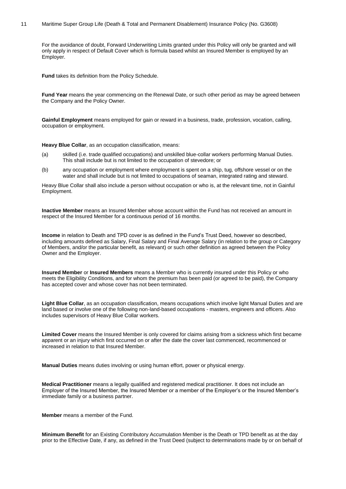#### 11 Maritime Super Group Life (Death & Total and Permanent Disablement) Insurance Policy (No. G3608)

For the avoidance of doubt, Forward Underwriting Limits granted under this Policy will only be granted and will only apply in respect of Default Cover which is formula based whilst an Insured Member is employed by an Employer.

**Fund** takes its definition from the Policy Schedule.

**Fund Year** means the year commencing on the Renewal Date, or such other period as may be agreed between the Company and the Policy Owner.

**Gainful Employment** means employed for gain or reward in a business, trade, profession, vocation, calling, occupation or employment.

**Heavy Blue Collar**, as an occupation classification, means:

- (a) skilled (i.e. trade qualified occupations) and unskilled blue-collar workers performing Manual Duties. This shall include but is not limited to the occupation of stevedore; or
- (b) any occupation or employment where employment is spent on a ship, tug, offshore vessel or on the water and shall include but is not limited to occupations of seaman, integrated rating and steward.

Heavy Blue Collar shall also include a person without occupation or who is, at the relevant time, not in Gainful Employment.

**Inactive Member** means an Insured Member whose account within the Fund has not received an amount in respect of the Insured Member for a continuous period of 16 months.

**Income** in relation to Death and TPD cover is as defined in the Fund's Trust Deed, however so described, including amounts defined as Salary, Final Salary and Final Average Salary (in relation to the group or Category of Members, and/or the particular benefit, as relevant) or such other definition as agreed between the Policy Owner and the Employer.

**Insured Member** or **Insured Members** means a Member who is currently insured under this Policy or who meets the Eligibility Conditions, and for whom the premium has been paid (or agreed to be paid), the Company has accepted cover and whose cover has not been terminated.

**Light Blue Collar**, as an occupation classification, means occupations which involve light Manual Duties and are land based or involve one of the following non-land-based occupations - masters, engineers and officers. Also includes supervisors of Heavy Blue Collar workers.

**Limited Cover** means the Insured Member is only covered for claims arising from a sickness which first became apparent or an injury which first occurred on or after the date the cover last commenced, recommenced or increased in relation to that Insured Member.

**Manual Duties** means duties involving or using human effort, power or physical energy.

**Medical Practitioner** means a legally qualified and registered medical practitioner. It does not include an Employer of the Insured Member, the Insured Member or a member of the Employer's or the Insured Member's immediate family or a business partner.

**Member** means a member of the Fund.

**Minimum Benefit** for an Existing Contributory Accumulation Member is the Death or TPD benefit as at the day prior to the Effective Date, if any, as defined in the Trust Deed (subject to determinations made by or on behalf of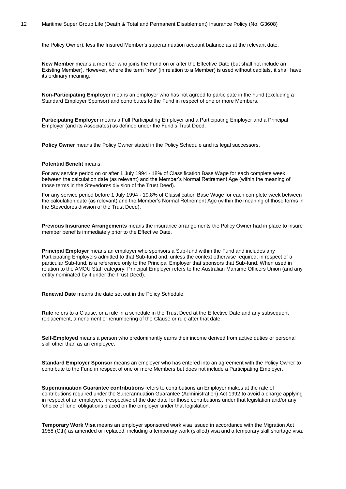the Policy Owner), less the Insured Member's superannuation account balance as at the relevant date.

**New Member** means a member who joins the Fund on or after the Effective Date (but shall not include an Existing Member). However, where the term 'new' (in relation to a Member) is used without capitals, it shall have its ordinary meaning.

**Non-Participating Employer** means an employer who has not agreed to participate in the Fund (excluding a Standard Employer Sponsor) and contributes to the Fund in respect of one or more Members.

**Participating Employer** means a Full Participating Employer and a Participating Employer and a Principal Employer (and its Associates) as defined under the Fund's Trust Deed.

**Policy Owner** means the Policy Owner stated in the Policy Schedule and its legal successors.

#### **Potential Benefit** means:

For any service period on or after 1 July 1994 - 18% of Classification Base Wage for each complete week between the calculation date (as relevant) and the Member's Normal Retirement Age (within the meaning of those terms in the Stevedores division of the Trust Deed).

For any service period before 1 July 1994 - 19.8% of Classification Base Wage for each complete week between the calculation date (as relevant) and the Member's Normal Retirement Age (within the meaning of those terms in the Stevedores division of the Trust Deed).

**Previous Insurance Arrangements** means the insurance arrangements the Policy Owner had in place to insure member benefits immediately prior to the Effective Date.

**Principal Employer** means an employer who sponsors a Sub-fund within the Fund and includes any Participating Employers admitted to that Sub-fund and, unless the context otherwise required, in respect of a particular Sub-fund, is a reference only to the Principal Employer that sponsors that Sub-fund. When used in relation to the AMOU Staff category, Principal Employer refers to the Australian Maritime Officers Union (and any entity nominated by it under the Trust Deed).

**Renewal Date** means the date set out in the Policy Schedule.

**Rule** refers to a Clause, or a rule in a schedule in the Trust Deed at the Effective Date and any subsequent replacement, amendment or renumbering of the Clause or rule after that date.

**Self-Employed** means a person who predominantly earns their income derived from active duties or personal skill other than as an employee.

**Standard Employer Sponsor** means an employer who has entered into an agreement with the Policy Owner to contribute to the Fund in respect of one or more Members but does not include a Participating Employer.

**Superannuation Guarantee contributions** refers to contributions an Employer makes at the rate of contributions required under the Superannuation Guarantee (Administration) Act 1992 to avoid a charge applying in respect of an employee, irrespective of the due date for those contributions under that legislation and/or any 'choice of fund' obligations placed on the employer under that legislation.

**Temporary Work Visa** means an employer sponsored work visa issued in accordance with the Migration Act 1958 (Cth) as amended or replaced, including a temporary work (skilled) visa and a temporary skill shortage visa.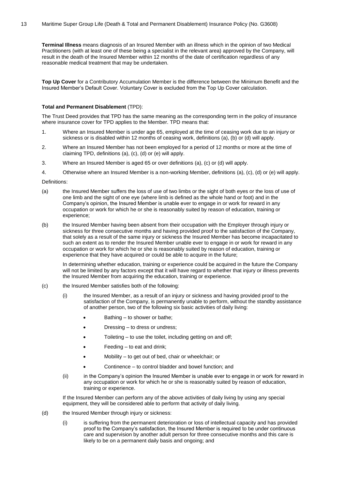**Terminal Illness** means diagnosis of an Insured Member with an illness which in the opinion of two Medical Practitioners (with at least one of these being a specialist in the relevant area) approved by the Company, will result in the death of the Insured Member within 12 months of the date of certification regardless of any reasonable medical treatment that may be undertaken.

**Top Up Cover** for a Contributory Accumulation Member is the difference between the Minimum Benefit and the Insured Member's Default Cover. Voluntary Cover is excluded from the Top Up Cover calculation.

#### **Total and Permanent Disablement** (TPD):

The Trust Deed provides that TPD has the same meaning as the corresponding term in the policy of insurance where insurance cover for TPD applies to the Member. TPD means that:

- 1. Where an Insured Member is under age 65, employed at the time of ceasing work due to an injury or sickness or is disabled within 12 months of ceasing work, definitions (a), (b) or (d) will apply.
- 2. Where an Insured Member has not been employed for a period of 12 months or more at the time of claiming TPD, definitions (a), (c), (d) or (e) will apply.
- 3. Where an Insured Member is aged 65 or over definitions (a), (c) or (d) will apply.
- 4. Otherwise where an Insured Member is a non-working Member, definitions (a), (c), (d) or (e) will apply.

#### Definitions:

- (a) the Insured Member suffers the loss of use of two limbs or the sight of both eyes or the loss of use of one limb and the sight of one eye (where limb is defined as the whole hand or foot) and in the Company's opinion, the Insured Member is unable ever to engage in or work for reward in any occupation or work for which he or she is reasonably suited by reason of education, training or experience;
- (b) the Insured Member having been absent from their occupation with the Employer through injury or sickness for three consecutive months and having provided proof to the satisfaction of the Company, that solely as a result of the same injury or sickness the Insured Member has become incapacitated to such an extent as to render the Insured Member unable ever to engage in or work for reward in any occupation or work for which he or she is reasonably suited by reason of education, training or experience that they have acquired or could be able to acquire in the future;

In determining whether education, training or experience could be acquired in the future the Company will not be limited by any factors except that it will have regard to whether that injury or illness prevents the Insured Member from acquiring the education, training or experience.

- (c) the Insured Member satisfies both of the following:
	- (i) the Insured Member, as a result of an injury or sickness and having provided proof to the satisfaction of the Company, is permanently unable to perform, without the standby assistance of another person, two of the following six basic activities of daily living:
		- Bathing to shower or bathe;
		- Dressing to dress or undress;
		- Toileting  $-$  to use the toilet, including getting on and off;
		- $Feeding to eat and drink;$
		- Mobility to get out of bed, chair or wheelchair; or
		- Continence to control bladder and bowel function; and
	- (ii) in the Company's opinion the Insured Member is unable ever to engage in or work for reward in any occupation or work for which he or she is reasonably suited by reason of education, training or experience.

If the Insured Member can perform any of the above activities of daily living by using any special equipment, they will be considered able to perform that activity of daily living.

- (d) the Insured Member through injury or sickness:
	- (i) is suffering from the permanent deterioration or loss of intellectual capacity and has provided proof to the Company's satisfaction, the Insured Member is required to be under continuous care and supervision by another adult person for three consecutive months and this care is likely to be on a permanent daily basis and ongoing; and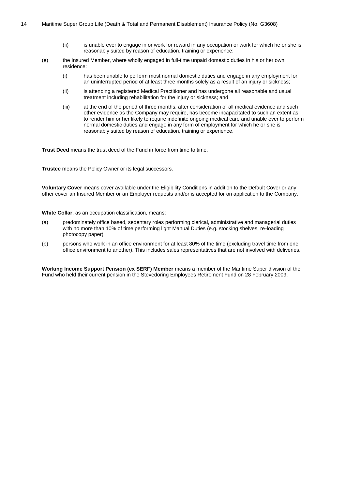- (ii) is unable ever to engage in or work for reward in any occupation or work for which he or she is reasonably suited by reason of education, training or experience;
- (e) the Insured Member, where wholly engaged in full-time unpaid domestic duties in his or her own residence:
	- (i) has been unable to perform most normal domestic duties and engage in any employment for an uninterrupted period of at least three months solely as a result of an injury or sickness;
	- (ii) is attending a registered Medical Practitioner and has undergone all reasonable and usual treatment including rehabilitation for the injury or sickness; and
	- (iii) at the end of the period of three months, after consideration of all medical evidence and such other evidence as the Company may require, has become incapacitated to such an extent as to render him or her likely to require indefinite ongoing medical care and unable ever to perform normal domestic duties and engage in any form of employment for which he or she is reasonably suited by reason of education, training or experience.

**Trust Deed** means the trust deed of the Fund in force from time to time.

**Trustee** means the Policy Owner or its legal successors.

**Voluntary Cover** means cover available under the Eligibility Conditions in addition to the Default Cover or any other cover an Insured Member or an Employer requests and/or is accepted for on application to the Company.

**White Collar**, as an occupation classification, means:

- (a) predominately office based, sedentary roles performing clerical, administrative and managerial duties with no more than 10% of time performing light Manual Duties (e.g. stocking shelves, re-loading photocopy paper)
- (b) persons who work in an office environment for at least 80% of the time (excluding travel time from one office environment to another). This includes sales representatives that are not involved with deliveries.

**Working Income Support Pension (ex SERF) Member** means a member of the Maritime Super division of the Fund who held their current pension in the Stevedoring Employees Retirement Fund on 28 February 2009.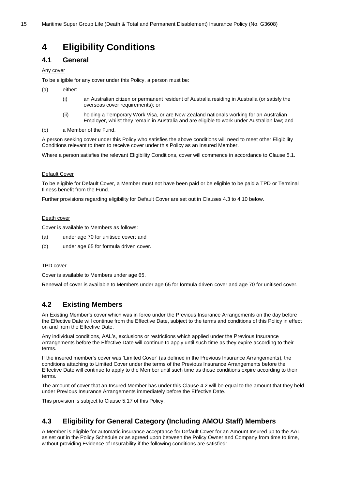# <span id="page-14-0"></span>**4 Eligibility Conditions**

## <span id="page-14-1"></span>**4.1 General**

Any cover

To be eligible for any cover under this Policy, a person must be:

- (a) either:
	- (i) an Australian citizen or permanent resident of Australia residing in Australia (or satisfy the overseas cover requirements); or
	- (ii) holding a Temporary Work Visa, or are New Zealand nationals working for an Australian Employer, whilst they remain in Australia and are eligible to work under Australian law; and
- (b) a Member of the Fund.

A person seeking cover under this Policy who satisfies the above conditions will need to meet other Eligibility Conditions relevant to them to receive cover under this Policy as an Insured Member.

Where a person satisfies the relevant Eligibility Conditions, cover will commence in accordance to Clause [5.1.](#page-26-1)

#### Default Cover

To be eligible for Default Cover, a Member must not have been paid or be eligible to be paid a TPD or Terminal Illness benefit from the Fund.

Further provisions regarding eligibility for Default Cover are set out in Clause[s 4.3](#page-14-3) t[o 4.10](#page-21-0) below.

#### Death cover

Cover is available to Members as follows:

- (a) under age 70 for unitised cover; and
- (b) under age 65 for formula driven cover.

#### TPD cover

Cover is available to Members under age 65.

Renewal of cover is available to Members under age 65 for formula driven cover and age 70 for unitised cover.

# <span id="page-14-2"></span>**4.2 Existing Members**

An Existing Member's cover which was in force under the Previous Insurance Arrangements on the day before the Effective Date will continue from the Effective Date, subject to the terms and conditions of this Policy in effect on and from the Effective Date.

Any individual conditions, AAL's, exclusions or restrictions which applied under the Previous Insurance Arrangements before the Effective Date will continue to apply until such time as they expire according to their terms.

If the insured member's cover was 'Limited Cover' (as defined in the Previous Insurance Arrangements), the conditions attaching to Limited Cover under the terms of the Previous Insurance Arrangements before the Effective Date will continue to apply to the Member until such time as those conditions expire according to their terms.

The amount of cover that an Insured Member has under this Clause [4.2](#page-14-2) will be equal to the amount that they held under Previous Insurance Arrangements immediately before the Effective Date.

This provision is subject to Clause [5.17](#page-35-0) of this Policy.

# <span id="page-14-3"></span>**4.3 Eligibility for General Category (Including AMOU Staff) Members**

A Member is eligible for automatic insurance acceptance for Default Cover for an Amount Insured up to the AAL as set out in the Policy Schedule or as agreed upon between the Policy Owner and Company from time to time, without providing Evidence of Insurability if the following conditions are satisfied: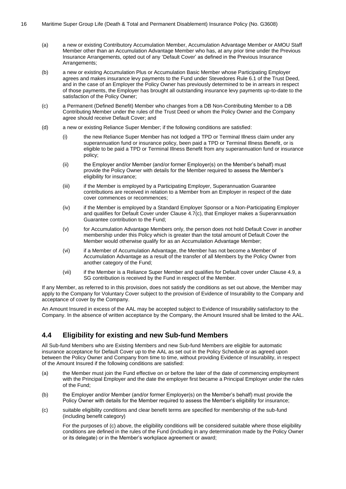- (a) a new or existing Contributory Accumulation Member, Accumulation Advantage Member or AMOU Staff Member other than an Accumulation Advantage Member who has, at any prior time under the Previous Insurance Arrangements, opted out of any 'Default Cover' as defined in the Previous Insurance Arrangements;
- (b) a new or existing Accumulation Plus or Accumulation Basic Member whose Participating Employer agrees and makes insurance levy payments to the Fund under Stevedores Rule 6.1 of the Trust Deed, and in the case of an Employer the Policy Owner has previously determined to be in arrears in respect of those payments, the Employer has brought all outstanding insurance levy payments up-to-date to the satisfaction of the Policy Owner;
- (c) a Permanent (Defined Benefit) Member who changes from a DB Non-Contributing Member to a DB Contributing Member under the rules of the Trust Deed or whom the Policy Owner and the Company agree should receive Default Cover; and
- (d) a new or existing Reliance Super Member; if the following conditions are satisfied:
	- (i) the new Reliance Super Member has not lodged a TPD or Terminal Illness claim under any superannuation fund or insurance policy, been paid a TPD or Terminal Illness Benefit, or is eligible to be paid a TPD or Terminal Illness Benefit from any superannuation fund or insurance policy;
	- (ii) the Employer and/or Member (and/or former Employer(s) on the Member's behalf) must provide the Policy Owner with details for the Member required to assess the Member's eligibility for insurance;
	- (iii) if the Member is employed by a Participating Employer, Superannuation Guarantee contributions are received in relation to a Member from an Employer in respect of the date cover commences or recommences;
	- (iv) if the Member is employed by a Standard Employer Sponsor or a Non-Participating Employer and qualifies for Default Cover under Clause [4.7\(c\),](#page-18-1) that Employer makes a Superannuation Guarantee contribution to the Fund;
	- (v) for Accumulation Advantage Members only, the person does not hold Default Cover in another membership under this Policy which is greater than the total amount of Default Cover the Member would otherwise qualify for as an Accumulation Advantage Member;
	- (vi) if a Member of Accumulation Advantage, the Member has not become a Member of Accumulation Advantage as a result of the transfer of all Members by the Policy Owner from another category of the Fund;
	- (vii) if the Member is a Reliance Super Member and qualifies for Default cover under Clause [4.9,](#page-20-0) a SG contribution is received by the Fund in respect of the Member.

If any Member, as referred to in this provision, does not satisfy the conditions as set out above, the Member may apply to the Company for Voluntary Cover subject to the provision of Evidence of Insurability to the Company and acceptance of cover by the Company.

An Amount Insured in excess of the AAL may be accepted subject to Evidence of Insurability satisfactory to the Company. In the absence of written acceptance by the Company, the Amount Insured shall be limited to the AAL.

# <span id="page-15-0"></span>**4.4 Eligibility for existing and new Sub-fund Members**

All Sub-fund Members who are Existing Members and new Sub-fund Members are eligible for automatic insurance acceptance for Default Cover up to the AAL as set out in the Policy Schedule or as agreed upon between the Policy Owner and Company from time to time, without providing Evidence of Insurability, in respect of the Amount Insured if the following conditions are satisfied:

- (a) the Member must join the Fund effective on or before the later of the date of commencing employment with the Principal Employer and the date the employer first became a Principal Employer under the rules of the Fund;
- (b) the Employer and/or Member (and/or former Employer(s) on the Member's behalf) must provide the Policy Owner with details for the Member required to assess the Member's eligibility for insurance;
- <span id="page-15-1"></span>(c) suitable eligibility conditions and clear benefit terms are specified for membership of the sub-fund (including benefit category)

For the purposes o[f \(c\)](#page-15-1) above, the eligibility conditions will be considered suitable where those eligibility conditions are defined in the rules of the Fund (including in any determination made by the Policy Owner or its delegate) or in the Member's workplace agreement or award;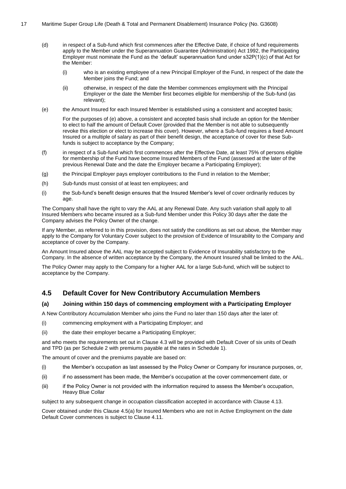- (d) in respect of a Sub-fund which first commences after the Effective Date, if choice of fund requirements apply to the Member under the Superannuation Guarantee (Administration) Act 1992, the Participating Employer must nominate the Fund as the 'default' superannuation fund under s32P(1)(c) of that Act for the Member:
	- (i) who is an existing employee of a new Principal Employer of the Fund, in respect of the date the Member joins the Fund; and
	- (ii) otherwise, in respect of the date the Member commences employment with the Principal Employer or the date the Member first becomes eligible for membership of the Sub-fund (as relevant);
- <span id="page-16-1"></span>(e) the Amount Insured for each Insured Member is established using a consistent and accepted basis;

For the purposes o[f \(e\)](#page-16-1) above, a consistent and accepted basis shall include an option for the Member to elect to half the amount of Default Cover (provided that the Member is not able to subsequently revoke this election or elect to increase this cover). However, where a Sub-fund requires a fixed Amount Insured or a multiple of salary as part of their benefit design, the acceptance of cover for these Subfunds is subject to acceptance by the Company;

- (f) in respect of a Sub-fund which first commences after the Effective Date, at least 75% of persons eligible for membership of the Fund have become Insured Members of the Fund (assessed at the later of the previous Renewal Date and the date the Employer became a Participating Employer);
- (g) the Principal Employer pays employer contributions to the Fund in relation to the Member;
- (h) Sub-funds must consist of at least ten employees; and
- (i) the Sub-fund's benefit design ensures that the Insured Member's level of cover ordinarily reduces by age.

The Company shall have the right to vary the AAL at any Renewal Date. Any such variation shall apply to all Insured Members who became insured as a Sub-fund Member under this Policy 30 days after the date the Company advises the Policy Owner of the change.

If any Member, as referred to in this provision, does not satisfy the conditions as set out above, the Member may apply to the Company for Voluntary Cover subject to the provision of Evidence of Insurability to the Company and acceptance of cover by the Company.

An Amount Insured above the AAL may be accepted subject to Evidence of Insurability satisfactory to the Company. In the absence of written acceptance by the Company, the Amount Insured shall be limited to the AAL.

The Policy Owner may apply to the Company for a higher AAL for a large Sub-fund, which will be subject to acceptance by the Company.

# <span id="page-16-0"></span>**4.5 Default Cover for New Contributory Accumulation Members**

#### <span id="page-16-2"></span>**(a) Joining within 150 days of commencing employment with a Participating Employer**

A New Contributory Accumulation Member who joins the Fund no later than 150 days after the later of:

- (i) commencing employment with a Participating Employer; and
- (ii) the date their employer became a Participating Employer;

and who meets the requirements set out in Clause [4.3](#page-14-3) will be provided with Default Cover of six units of Death and TPD (as per Schedule 2 with premiums payable at the rates in Schedule 1).

The amount of cover and the premiums payable are based on:

- (i) the Member's occupation as last assessed by the Policy Owner or Company for insurance purposes, or,
- (ii) if no assessment has been made, the Member's occupation at the cover commencement date, or
- (iii) if the Policy Owner is not provided with the information required to assess the Member's occupation, Heavy Blue Collar

subject to any subsequent change in occupation classification accepted in accordance with Clause [4.13.](#page-22-2)

<span id="page-16-3"></span>Cover obtained under this Clause [4.5](#page-16-0)[\(a\)](#page-16-2) for Insured Members who are not in Active Employment on the date Default Cover commences is subject to Clause [4.11.](#page-22-0)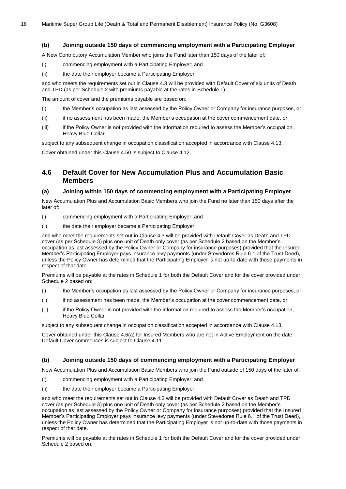#### **(b) Joining outside 150 days of commencing employment with a Participating Employer**

A New Contributory Accumulation Member who joins the Fund later than 150 days of the later of:

- (i) commencing employment with a Participating Employer; and
- (ii) the date their employer became a Participating Employer;

and who meets the requirements set out in Clause [4.3](#page-14-3) will be provided with Default Cover of six units of Death and TPD (as per Schedule 2 with premiums payable at the rates in Schedule 1).

The amount of cover and the premiums payable are based on:

- (i) the Member's occupation as last assessed by the Policy Owner or Company for insurance purposes, or
- (ii) if no assessment has been made, the Member's occupation at the cover commencement date, or
- (iii) if the Policy Owner is not provided with the information required to assess the Member's occupation, Heavy Blue Collar

subject to any subsequent change in occupation classification accepted in accordance with Clause [4.13.](#page-22-2) Cover obtained under this Clause [4.5](#page-16-0)[0](#page-16-3) is subject to Clause [4.12.](#page-22-1)

# <span id="page-17-0"></span>**4.6 Default Cover for New Accumulation Plus and Accumulation Basic Members**

#### <span id="page-17-1"></span>**(a) Joining within 150 days of commencing employment with a Participating Employer**

New Accumulation Plus and Accumulation Basic Members who join the Fund no later than 150 days after the later of:

- (i) commencing employment with a Participating Employer; and
- (ii) the date their employer became a Participating Employer;

and who meet the requirements set out in Clause [4.3](#page-14-3) will be provided with Default Cover as Death and TPD cover (as per Schedule 3) plus one unit of Death only cover (as per Schedule 2 based on the Member's occupation as last assessed by the Policy Owner or Company for insurance purposes) provided that the Insured Member's Participating Employer pays insurance levy payments (under Stevedores Rule 6.1 of the Trust Deed), unless the Policy Owner has determined that the Participating Employer is not up-to-date with those payments in respect of that date.

Premiums will be payable at the rates in Schedule 1 for both the Default Cover and for the cover provided under Schedule 2 based on:

- (i) the Member's occupation as last assessed by the Policy Owner or Company for insurance purposes, or
- (ii) if no assessment has been made, the Member's occupation at the cover commencement date, or
- (iii) if the Policy Owner is not provided with the information required to assess the Member's occupation, Heavy Blue Collar

subject to any subsequent change in occupation classification accepted in accordance with Clause [4.13.](#page-22-2)

Cover obtained under this Clause [4.6](#page-17-0)[\(a\)](#page-17-1) for Insured Members who are not in Active Employment on the date Default Cover commences is subject to Clause [4.11.](#page-22-0)

#### <span id="page-17-2"></span>**(b) Joining outside 150 days of commencing employment with a Participating Employer**

New Accumulation Plus and Accumulation Basic Members who join the Fund outside of 150 days of the later of:

- (i) commencing employment with a Participating Employer; and
- (ii) the date their employer became a Participating Employer;

and who meet the requirements set out in Clause [4.3](#page-14-3) will be provided with Default Cover as Death and TPD cover (as per Schedule 3) plus one unit of Death only cover (as per Schedule 2 based on the Member's occupation as last assessed by the Policy Owner or Company for insurance purposes) provided that the Insured Member's Participating Employer pays insurance levy payments (under Stevedores Rule 6.1 of the Trust Deed), unless the Policy Owner has determined that the Participating Employer is not up-to-date with those payments in respect of that date.

Premiums will be payable at the rates in Schedule 1 for both the Default Cover and for the cover provided under Schedule 2 based on: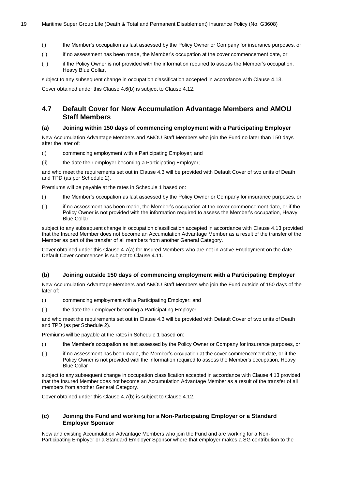- (i) the Member's occupation as last assessed by the Policy Owner or Company for insurance purposes, or
- (ii) if no assessment has been made, the Member's occupation at the cover commencement date, or
- (iii) if the Policy Owner is not provided with the information required to assess the Member's occupation, Heavy Blue Collar,

subject to any subsequent change in occupation classification accepted in accordance with Clause [4.13.](#page-22-2)

Cover obtained under this Clause [4.6](#page-17-0)[\(b\)](#page-17-2) is subject to Clause [4.12.](#page-22-1)

# <span id="page-18-0"></span>**4.7 Default Cover for New Accumulation Advantage Members and AMOU Staff Members**

#### <span id="page-18-2"></span>**(a) Joining within 150 days of commencing employment with a Participating Employer**

New Accumulation Advantage Members and AMOU Staff Members who join the Fund no later than 150 days after the later of:

- (i) commencing employment with a Participating Employer; and
- (ii) the date their employer becoming a Participating Employer;

and who meet the requirements set out in Clause [4.3](#page-14-3) will be provided with Default Cover of two units of Death and TPD (as per Schedule 2).

Premiums will be payable at the rates in Schedule 1 based on:

- (i) the Member's occupation as last assessed by the Policy Owner or Company for insurance purposes, or
- (ii) if no assessment has been made, the Member's occupation at the cover commencement date, or if the Policy Owner is not provided with the information required to assess the Member's occupation, Heavy Blue Collar

subject to any subsequent change in occupation classification accepted in accordance with Clause [4.13](#page-22-2) provided that the Insured Member does not become an Accumulation Advantage Member as a result of the transfer of the Member as part of the transfer of all members from another General Category.

Cover obtained under this Clause [4.7](#page-18-0)[\(a\)](#page-18-2) for Insured Members who are not in Active Employment on the date Default Cover commences is subject to Clause [4.11.](#page-22-0)

## <span id="page-18-3"></span>**(b) Joining outside 150 days of commencing employment with a Participating Employer**

New Accumulation Advantage Members and AMOU Staff Members who join the Fund outside of 150 days of the later of:

- (i) commencing employment with a Participating Employer; and
- (ii) the date their employer becoming a Participating Employer;

and who meet the requirements set out in Clause [4.3](#page-14-3) will be provided with Default Cover of two units of Death and TPD (as per Schedule 2).

Premiums will be payable at the rates in Schedule 1 based on:

- (i) the Member's occupation as last assessed by the Policy Owner or Company for insurance purposes, or
- (ii) if no assessment has been made, the Member's occupation at the cover commencement date, or if the Policy Owner is not provided with the information required to assess the Member's occupation, Heavy Blue Collar

subject to any subsequent change in occupation classification accepted in accordance with Clause [4.13](#page-22-2) provided that the Insured Member does not become an Accumulation Advantage Member as a result of the transfer of all members from another General Category.

Cover obtained under this Clause [4.7](#page-18-0)[\(b\)](#page-18-3) is subject to Clause [4.12.](#page-22-1)

#### <span id="page-18-1"></span>**(c) Joining the Fund and working for a Non-Participating Employer or a Standard Employer Sponsor**

New and existing Accumulation Advantage Members who join the Fund and are working for a Non-Participating Employer or a Standard Employer Sponsor where that employer makes a SG contribution to the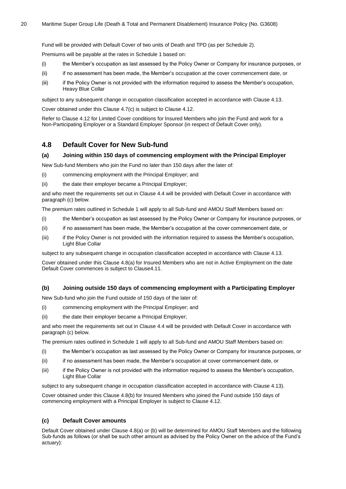Fund will be provided with Default Cover of two units of Death and TPD (as per Schedule 2).

Premiums will be payable at the rates in Schedule 1 based on:

- (i) the Member's occupation as last assessed by the Policy Owner or Company for insurance purposes, or
- (ii) if no assessment has been made, the Member's occupation at the cover commencement date, or
- (iii) if the Policy Owner is not provided with the information required to assess the Member's occupation, Heavy Blue Collar

subject to any subsequent change in occupation classification accepted in accordance with Clause [4.13.](#page-22-2)

Cover obtained under this Clause [4.7](#page-18-0)[\(c\)](#page-18-1) is subject to Clause [4.12.](#page-22-1)

Refer to Clause [4.12](#page-22-1) for Limited Cover conditions for Insured Members who join the Fund and work for a Non-Participating Employer or a Standard Employer Sponsor (in respect of Default Cover only).

## <span id="page-19-0"></span>**4.8 Default Cover for New Sub-fund**

#### <span id="page-19-2"></span>**(a) Joining within 150 days of commencing employment with the Principal Employer**

New Sub-fund Members who join the Fund no later than 150 days after the later of:

(i) commencing employment with the Principal Employer; and

(ii) the date their employer became a Principal Employer;

and who meet the requirements set out in Clause [4.4](#page-15-0) will be provided with Default Cover in accordance with paragrap[h \(c\)](#page-19-1) below.

The premium rates outlined in Schedule 1 will apply to all Sub-fund and AMOU Staff Members based on:

- (i) the Member's occupation as last assessed by the Policy Owner or Company for insurance purposes, or
- (ii) if no assessment has been made, the Member's occupation at the cover commencement date, or
- (iii) if the Policy Owner is not provided with the information required to assess the Member's occupation, Light Blue Collar

subject to any subsequent change in occupation classification accepted in accordance with Clause [4.13.](#page-22-2)

Cover obtained under this Clause [4.8](#page-19-0)[\(a\)](#page-19-2) for Insured Members who are not in Active Employment on the date Default Cover commences is subject to Claus[e4.11.](#page-22-0)

#### <span id="page-19-3"></span>**(b) Joining outside 150 days of commencing employment with a Participating Employer**

New Sub-fund who join the Fund outside of 150 days of the later of:

- (i) commencing employment with the Principal Employer; and
- (ii) the date their employer became a Principal Employer;

and who meet the requirements set out in Clause [4.4](#page-15-0) will be provided with Default Cover in accordance with paragrap[h \(c\)](#page-19-1) below.

The premium rates outlined in Schedule 1 will apply to all Sub-fund and AMOU Staff Members based on:

- (i) the Member's occupation as last assessed by the Policy Owner or Company for insurance purposes, or
- (ii) if no assessment has been made, the Member's occupation at cover commencement date, or
- (iii) if the Policy Owner is not provided with the information required to assess the Member's occupation, Light Blue Collar

subject to any subsequent change in occupation classification accepted in accordance with Clause [4.13\)](#page-22-2).

Cover obtained under this Clause [4.8](#page-19-0)[\(b\)](#page-19-3) for Insured Members who joined the Fund outside 150 days of commencing employment with a Principal Employer is subject to Clause [4.12.](#page-22-1)

#### <span id="page-19-1"></span>**(c) Default Cover amounts**

Default Cover obtained under Clause [4.8](#page-19-0)[\(a\)](#page-19-2) or [\(b\)](#page-19-3) will be determined for AMOU Staff Members and the following Sub-funds as follows (or shall be such other amount as advised by the Policy Owner on the advice of the Fund's actuary):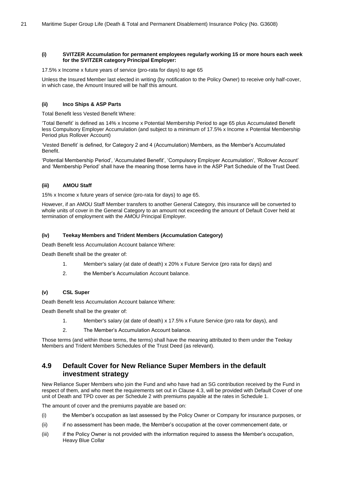#### **(i) SVITZER Accumulation for permanent employees regularly working 15 or more hours each week for the SVITZER category Principal Employer:**

17.5% x Income x future years of service (pro-rata for days) to age 65

Unless the Insured Member last elected in writing (by notification to the Policy Owner) to receive only half-cover, in which case, the Amount Insured will be half this amount.

#### **(ii) Inco Ships & ASP Parts**

Total Benefit less Vested Benefit Where:

'Total Benefit' is defined as 14% x Income x Potential Membership Period to age 65 plus Accumulated Benefit less Compulsory Employer Accumulation (and subject to a minimum of 17.5% x Income x Potential Membership Period plus Rollover Account)

'Vested Benefit' is defined, for Category 2 and 4 (Accumulation) Members, as the Member's Accumulated Benefit.

'Potential Membership Period', 'Accumulated Benefit', 'Compulsory Employer Accumulation', 'Rollover Account' and 'Membership Period' shall have the meaning those terms have in the ASP Part Schedule of the Trust Deed.

#### **(iii) AMOU Staff**

15% x Income x future years of service (pro-rata for days) to age 65.

However, if an AMOU Staff Member transfers to another General Category, this insurance will be converted to whole units of cover in the General Category to an amount not exceeding the amount of Default Cover held at termination of employment with the AMOU Principal Employer.

#### **(iv) Teekay Members and Trident Members (Accumulation Category)**

Death Benefit less Accumulation Account balance Where:

Death Benefit shall be the greater of:

- 1. Member's salary (at date of death) x 20% x Future Service (pro rata for days) and
- 2. the Member's Accumulation Account balance.

#### **(v) CSL Super**

Death Benefit less Accumulation Account balance Where:

Death Benefit shall be the greater of:

- 1. Member's salary (at date of death) x 17.5% x Future Service (pro rata for days), and
- 2. The Member's Accumulation Account balance.

Those terms (and within those terms, the terms) shall have the meaning attributed to them under the Teekay Members and Trident Members Schedules of the Trust Deed (as relevant).

# <span id="page-20-0"></span>**4.9 Default Cover for New Reliance Super Members in the default investment strategy**

New Reliance Super Members who join the Fund and who have had an SG contribution received by the Fund in respect of them, and who meet the requirements set out in Clause [4.3,](#page-14-3) will be provided with Default Cover of one unit of Death and TPD cover as per Schedule 2 with premiums payable at the rates in Schedule 1.

The amount of cover and the premiums payable are based on:

- (i) the Member's occupation as last assessed by the Policy Owner or Company for insurance purposes, or
- (ii) if no assessment has been made, the Member's occupation at the cover commencement date, or
- (iii) if the Policy Owner is not provided with the information required to assess the Member's occupation, Heavy Blue Collar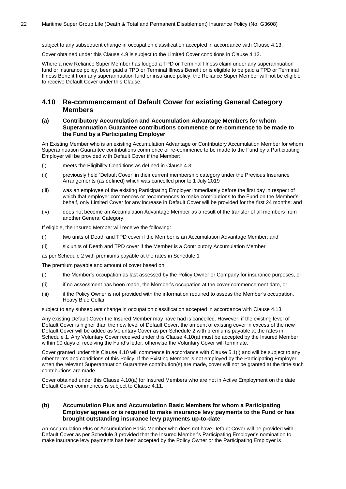subject to any subsequent change in occupation classification accepted in accordance with Clause [4.13.](#page-22-2)

Cover obtained under this Clause [4.9](#page-20-0) is subject to the Limited Cover conditions in Clause [4.12.](#page-22-1)

Where a new Reliance Super Member has lodged a TPD or Terminal Illness claim under any superannuation fund or insurance policy, been paid a TPD or Terminal Illness Benefit or is eligible to be paid a TPD or Terminal Illness Benefit from any superannuation fund or insurance policy, the Reliance Super Member will not be eligible to receive Default Cover under this Clause.

## <span id="page-21-0"></span>**4.10 Re-commencement of Default Cover for existing General Category Members**

#### <span id="page-21-1"></span>**(a) Contributory Accumulation and Accumulation Advantage Members for whom Superannuation Guarantee contributions commence or re-commence to be made to the Fund by a Participating Employer**

An Existing Member who is an existing Accumulation Advantage or Contributory Accumulation Member for whom Superannuation Guarantee contributions commence or re-commence to be made to the Fund by a Participating Employer will be provided with Default Cover if the Member:

- (i) meets the Eligibility Conditions as defined in Clause [4.3;](#page-14-3)
- (ii) previously held 'Default Cover' in their current membership category under the Previous Insurance Arrangements (as defined) which was cancelled prior to 1 July 2019
- (iii) was an employee of the existing Participating Employer immediately before the first day in respect of which that employer commences or recommences to make contributions to the Fund on the Member's behalf, only Limited Cover for any increase in Default Cover will be provided for the first 24 months; and
- (iv) does not become an Accumulation Advantage Member as a result of the transfer of all members from another General Category.

If eligible, the Insured Member will receive the following:

- (i) two units of Death and TPD cover if the Member is an Accumulation Advantage Member; and
- (ii) six units of Death and TPD cover if the Member is a Contributory Accumulation Member

as per Schedule 2 with premiums payable at the rates in Schedule 1

The premium payable and amount of cover based on:

- (i) the Member's occupation as last assessed by the Policy Owner or Company for insurance purposes, or
- (ii) if no assessment has been made, the Member's occupation at the cover commencement date, or
- (iii) if the Policy Owner is not provided with the information required to assess the Member's occupation, Heavy Blue Collar

subject to any subsequent change in occupation classification accepted in accordance with Clause [4.13.](#page-22-2)

Any existing Default Cover the Insured Member may have had is cancelled. However, if the existing level of Default Cover is higher than the new level of Default Cover, the amount of existing cover in excess of the new Default Cover will be added as Voluntary Cover as per Schedule 2 with premiums payable at the rates in Schedule 1. Any Voluntary Cover received under this Clause [4.10](#page-21-0)[\(a\)](#page-21-1) must be accepted by the Insured Member within 90 days of receiving the Fund's letter, otherwise the Voluntary Cover will terminate.

Cover granted under this Clause [4.10](#page-21-0) will commence in accordance with Clause [5.1](#page-26-1)[\(l\)](#page-27-2) and will be subject to any other terms and conditions of this Policy. If the Existing Member is not employed by the Participating Employer when the relevant Superannuation Guarantee contribution(s) are made, cover will not be granted at the time such contributions are made.

Cover obtained under this Clause [4.10](#page-21-0)[\(a\)](#page-21-1) for Insured Members who are not in Active Employment on the date Default Cover commences is subject to Clause [4.11.](#page-22-0)

#### <span id="page-21-2"></span>**(b) Accumulation Plus and Accumulation Basic Members for whom a Participating Employer agrees or is required to make insurance levy payments to the Fund or has brought outstanding insurance levy payments up-to-date**

An Accumulation Plus or Accumulation Basic Member who does not have Default Cover will be provided with Default Cover as per Schedule 3 provided that the Insured Member's Participating Employer's nomination to make insurance levy payments has been accepted by the Policy Owner or the Participating Employer is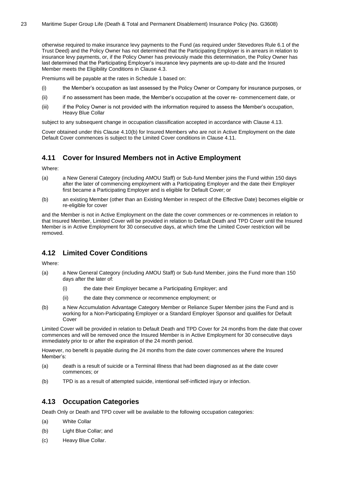otherwise required to make insurance levy payments to the Fund (as required under Stevedores Rule 6.1 of the Trust Deed) and the Policy Owner has not determined that the Participating Employer is in arrears in relation to insurance levy payments, or, if the Policy Owner has previously made this determination, the Policy Owner has last determined that the Participating Employer's insurance levy payments are up-to-date and the Insured Member meets the Eligibility Conditions in Clause [4.3.](#page-14-3)

Premiums will be payable at the rates in Schedule 1 based on:

- (i) the Member's occupation as last assessed by the Policy Owner or Company for insurance purposes, or
- (ii) if no assessment has been made, the Member's occupation at the cover re- commencement date, or
- (iii) if the Policy Owner is not provided with the information required to assess the Member's occupation, Heavy Blue Collar

subject to any subsequent change in occupation classification accepted in accordance with Clause [4.13.](#page-22-2)

Cover obtained under this Clause [4.10](#page-21-0)[\(b\)](#page-21-2) for Insured Members who are not in Active Employment on the date Default Cover commences is subject to the Limited Cover conditions in Clause [4.11.](#page-22-0)

# <span id="page-22-0"></span>**4.11 Cover for Insured Members not in Active Employment**

Where:

- (a) a New General Category (including AMOU Staff) or Sub-fund Member joins the Fund within 150 days after the later of commencing employment with a Participating Employer and the date their Employer first became a Participating Employer and is eligible for Default Cover; or
- (b) an existing Member (other than an Existing Member in respect of the Effective Date) becomes eligible or re-eligible for cover

and the Member is not in Active Employment on the date the cover commences or re-commences in relation to that Insured Member, Limited Cover will be provided in relation to Default Death and TPD Cover until the Insured Member is in Active Employment for 30 consecutive days, at which time the Limited Cover restriction will be removed.

# <span id="page-22-1"></span>**4.12 Limited Cover Conditions**

Where:

- (a) a New General Category (including AMOU Staff) or Sub-fund Member, joins the Fund more than 150 days after the later of:
	- (i) the date their Employer became a Participating Employer; and
	- (ii) the date they commence or recommence employment; or
- (b) a New Accumulation Advantage Category Member or Reliance Super Member joins the Fund and is working for a Non-Participating Employer or a Standard Employer Sponsor and qualifies for Default Cover

Limited Cover will be provided in relation to Default Death and TPD Cover for 24 months from the date that cover commences and will be removed once the Insured Member is in Active Employment for 30 consecutive days immediately prior to or after the expiration of the 24 month period.

However, no benefit is payable during the 24 months from the date cover commences where the Insured Member's:

- (a) death is a result of suicide or a Terminal Illness that had been diagnosed as at the date cover commences; or
- (b) TPD is as a result of attempted suicide, intentional self-inflicted injury or infection.

## <span id="page-22-2"></span>**4.13 Occupation Categories**

Death Only or Death and TPD cover will be available to the following occupation categories:

- (a) White Collar
- (b) Light Blue Collar; and
- (c) Heavy Blue Collar.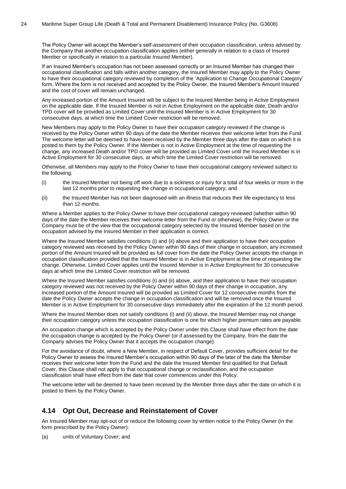The Policy Owner will accept the Member's self-assessment of their occupation classification, unless advised by the Company that another occupation classification applies (either generally in relation to a class of Insured Member or specifically in relation to a particular Insured Member).

If an Insured Member's occupation has not been assessed correctly or an Insured Member has changed their occupational classification and falls within another category, the Insured Member may apply to the Policy Owner to have their occupational category reviewed by completion of the 'Application to Change Occupational Category' form. Where the form is not received and accepted by the Policy Owner, the Insured Member's Amount Insured and the cost of cover will remain unchanged.

Any increased portion of the Amount Insured will be subject to the Insured Member being in Active Employment on the applicable date. If the Insured Member is not in Active Employment on the applicable date, Death and/or TPD cover will be provided as Limited Cover until the Insured Member is in Active Employment for 30 consecutive days, at which time the Limited Cover restriction will be removed.

New Members may apply to the Policy Owner to have their occupation category reviewed if the change is received by the Policy Owner within 90 days of the date the Member receives their welcome letter from the Fund. The welcome letter will be deemed to have been received by the Member three days after the date on which it is posted to them by the Policy Owner. If the Member is not in Active Employment at the time of requesting the change, any increased Death and/or TPD cover will be provided as Limited Cover until the Insured Member is in Active Employment for 30 consecutive days, at which time the Limited Cover restriction will be removed.

Otherwise, all Members may apply to the Policy Owner to have their occupational category reviewed subject to the following:

- <span id="page-23-1"></span>(i) the Insured Member not being off work due to a sickness or injury for a total of four weeks or more in the last 12 months prior to requesting the change in occupational category; and
- <span id="page-23-2"></span>(ii) the Insured Member has not been diagnosed with an illness that reduces their life expectancy to less than 12 months.

Where a Member applies to the Policy Owner to have their occupational category reviewed (whether within 90 days of the date the Member receives their welcome letter from the Fund or otherwise), the Policy Owner or the Company must be of the view that the occupational category selected by the Insured Member based on the occupation advised by the Insured Member in their application is correct.

Where the Insured Member satisfies conditions [\(i\)](#page-23-1) and [\(ii\)](#page-23-2) above and their application to have their occupation category reviewed was received by the Policy Owner within 90 days of their change in occupation, any increased portion of the Amount Insured will be provided as full cover from the date the Policy Owner accepts the change in occupation classification provided that the Insured Member is in Active Employment at the time of requesting the change. Otherwise, Limited Cover applies until the Insured Member is in Active Employment for 30 consecutive days at which time the Limited Cover restriction will be removed.

Where the Insured Member satisfies conditions [\(i\)](#page-23-1) and [\(ii\)](#page-23-2) above, and their application to have their occupation category reviewed was not received by the Policy Owner within 90 days of their change in occupation, any increased portion of the Amount Insured will be provided as Limited Cover for 12 consecutive months from the date the Policy Owner accepts the change in occupation classification and will be removed once the Insured Member is in Active Employment for 30 consecutive days immediately after the expiration of the 12 month period.

Where the Insured Member does not satisfy conditions [\(i\)](#page-23-1) and [\(ii\)](#page-23-2) above, the Insured Member may not change their occupation category unless the occupation classification is one for which higher premium rates are payable.

An occupation change which is accepted by the Policy Owner under this Clause shall have effect from the date the occupation change is accepted by the Policy Owner (or if assessed by the Company, from the date the Company advises the Policy Owner that it accepts the occupation change).

For the avoidance of doubt, where a New Member, in respect of Default Cover, provides sufficient detail for the Policy Owner to assess the Insured Member's occupation within 90 days of the later of the date the Member receives their welcome letter from the Fund and the date the Insured Member first qualified for that Default Cover, this Clause shall not apply to that occupational change or reclassification, and the occupation classification shall have effect from the date that cover commences under this Policy.

The welcome letter will be deemed to have been received by the Member three days after the date on which it is posted to them by the Policy Owner.

## <span id="page-23-0"></span>**4.14 Opt Out, Decrease and Reinstatement of Cover**

An Insured Member may opt-out of or reduce the following cover by written notice to the Policy Owner (in the form prescribed by the Policy Owner):

(a) units of Voluntary Cover; and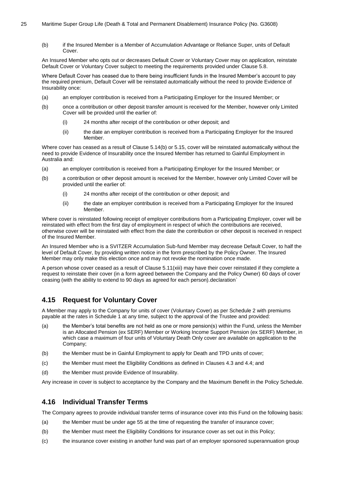#### 25 Maritime Super Group Life (Death & Total and Permanent Disablement) Insurance Policy (No. G3608)

(b) if the Insured Member is a Member of Accumulation Advantage or Reliance Super, units of Default Cover.

An Insured Member who opts out or decreases Default Cover or Voluntary Cover may on application, reinstate Default Cover or Voluntary Cover subject to meeting the requirements provided under Clause [5.8.](#page-28-4)

Where Default Cover has ceased due to there being insufficient funds in the Insured Member's account to pay the required premium, Default Cover will be reinstated automatically without the need to provide Evidence of Insurability once:

- (a) an employer contribution is received from a Participating Employer for the Insured Member; or
- (b) once a contribution or other deposit transfer amount is received for the Member, however only Limited Cover will be provided until the earlier of:
	- (i) 24 months after receipt of the contribution or other deposit; and
	- (ii) the date an employer contribution is received from a Participating Employer for the Insured Member.

Where cover has ceased as a result of Clause [5.14](#page-34-0)[\(b\)](#page-34-3) or [5.15,](#page-34-1) cover will be reinstated automatically without the need to provide Evidence of Insurability once the Insured Member has returned to Gainful Employment in Australia and:

- (a) an employer contribution is received from a Participating Employer for the Insured Member; or
- (b) a contribution or other deposit amount is received for the Member, however only Limited Cover will be provided until the earlier of:
	- (i) 24 months after receipt of the contribution or other deposit; and
	- (ii) the date an employer contribution is received from a Participating Employer for the Insured Member.

Where cover is reinstated following receipt of employer contributions from a Participating Employer, cover will be reinstated with effect from the first day of employment in respect of which the contributions are received, otherwise cover will be reinstated with effect from the date the contribution or other deposit is received in respect of the Insured Member.

An Insured Member who is a SVITZER Accumulation Sub-fund Member may decrease Default Cover, to half the level of Default Cover, by providing written notice in the form prescribed by the Policy Owner. The Insured Member may only make this election once and may not revoke the nomination once made.

A person whose cover ceased as a result of Clause [5.11](#page-31-0)[\(xiii\)](#page-31-1) may have their cover reinstated if they complete a request to reinstate their cover (in a form agreed between the Company and the Policy Owner) 60 days of cover ceasing (with the ability to extend to 90 days as agreed for each person).declaration`

# <span id="page-24-0"></span>**4.15 Request for Voluntary Cover**

A Member may apply to the Company for units of cover (Voluntary Cover) as per Schedule 2 with premiums payable at the rates in Schedule 1 at any time, subject to the approval of the Trustee and provided:

- (a) the Member's total benefits are not held as one or more pension(s) within the Fund, unless the Member is an Allocated Pension (ex SERF) Member or Working Income Support Pension (ex SERF) Member, in which case a maximum of four units of Voluntary Death Only cover are available on application to the Company;
- (b) the Member must be in Gainful Employment to apply for Death and TPD units of cover;
- (c) the Member must meet the Eligibility Conditions as defined in Clauses [4.3](#page-14-3) an[d 4.4;](#page-15-0) and
- (d) the Member must provide Evidence of Insurability.

Any increase in cover is subject to acceptance by the Company and the Maximum Benefit in the Policy Schedule.

# <span id="page-24-1"></span>**4.16 Individual Transfer Terms**

The Company agrees to provide individual transfer terms of insurance cover into this Fund on the following basis:

- (a) the Member must be under age 55 at the time of requesting the transfer of insurance cover;
- (b) the Member must meet the Eligibility Conditions for insurance cover as set out in this Policy;
- (c) the insurance cover existing in another fund was part of an employer sponsored superannuation group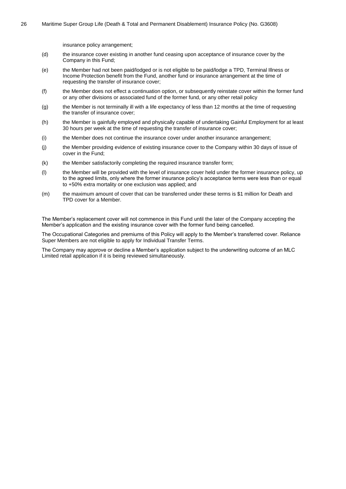insurance policy arrangement;

- (d) the insurance cover existing in another fund ceasing upon acceptance of insurance cover by the Company in this Fund;
- (e) the Member had not been paid/lodged or is not eligible to be paid/lodge a TPD, Terminal Illness or Income Protection benefit from the Fund, another fund or insurance arrangement at the time of requesting the transfer of insurance cover;
- (f) the Member does not effect a continuation option, or subsequently reinstate cover within the former fund or any other divisions or associated fund of the former fund, or any other retail policy
- (g) the Member is not terminally ill with a life expectancy of less than 12 months at the time of requesting the transfer of insurance cover;
- (h) the Member is gainfully employed and physically capable of undertaking Gainful Employment for at least 30 hours per week at the time of requesting the transfer of insurance cover;
- (i) the Member does not continue the insurance cover under another insurance arrangement;
- (j) the Member providing evidence of existing insurance cover to the Company within 30 days of issue of cover in the Fund;
- (k) the Member satisfactorily completing the required insurance transfer form;
- (l) the Member will be provided with the level of insurance cover held under the former insurance policy, up to the agreed limits, only where the former insurance policy's acceptance terms were less than or equal to +50% extra mortality or one exclusion was applied; and
- (m) the maximum amount of cover that can be transferred under these terms is \$1 million for Death and TPD cover for a Member.

The Member's replacement cover will not commence in this Fund until the later of the Company accepting the Member's application and the existing insurance cover with the former fund being cancelled.

The Occupational Categories and premiums of this Policy will apply to the Member's transferred cover. Reliance Super Members are not eligible to apply for Individual Transfer Terms.

The Company may approve or decline a Member's application subject to the underwriting outcome of an MLC Limited retail application if it is being reviewed simultaneously.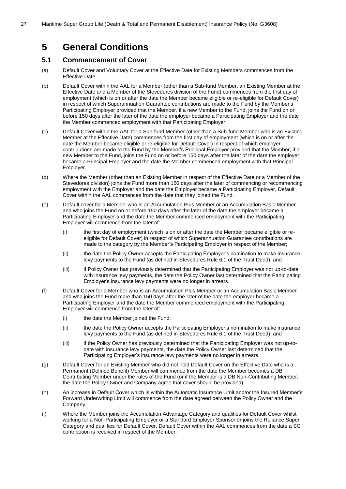# <span id="page-26-0"></span>**5 General Conditions**

# <span id="page-26-1"></span>**5.1 Commencement of Cover**

- (a) Default Cover and Voluntary Cover at the Effective Date for Existing Members commences from the Effective Date.
- (b) Default Cover within the AAL for a Member (other than a Sub-fund Member, an Existing Member at the Effective Date and a Member of the Stevedores division of the Fund) commences from the first day of employment (which is on or after the date the Member became eligible or re-eligible for Default Cover) in respect of which Superannuation Guarantee contributions are made to the Fund by the Member's Participating Employer provided that the Member, if a new Member to the Fund, joins the Fund on or before 150 days after the later of the date the employer became a Participating Employer and the date the Member commenced employment with that Participating Employer.
- (c) Default Cover within the AAL for a Sub-fund Member (other than a Sub-fund Member who is an Existing Member at the Effective Date) commences from the first day of employment (which is on or after the date the Member became eligible or re-eligible for Default Cover) in respect of which employer contributions are made to the Fund by the Member's Principal Employer provided that the Member, if a new Member to the Fund, joins the Fund on or before 150 days after the later of the date the employer became a Principal Employer and the date the Member commenced employment with that Principal Employer.
- (d) Where the Member (other than an Existing Member in respect of the Effective Date or a Member of the Stevedores division) joins the Fund more than 150 days after the later of commencing or recommencing employment with the Employer and the date the Employer became a Participating Employer, Default Cover within the AAL commences from the date that they joined the Fund.
- (e) Default cover for a Member who is an Accumulation Plus Member or an Accumulation Basic Member and who joins the Fund on or before 150 days after the later of the date the employer became a Participating Employer and the date the Member commenced employment with the Participating Employer will commence from the later of:
	- (i) the first day of employment (which is on or after the date the Member became eligible or reeligible for Default Cover) in respect of which Superannuation Guarantee contributions are made to the category by the Member's Participating Employer in respect of the Member;
	- (ii) the date the Policy Owner accepts the Participating Employer's nomination to make insurance levy payments to the Fund (as defined in Stevedores Rule 6.1 of the Trust Deed); and
	- (iii) if Policy Owner has previously determined that the Participating Employer was not up-to-date with insurance levy payments, the date the Policy Owner last determined that the Participating Employer's insurance levy payments were no longer in arrears.
- (f) Default Cover for a Member who is an Accumulation Plus Member or an Accumulation Basic Member and who joins the Fund more than 150 days after the later of the date the employer became a Participating Employer and the date the Member commenced employment with the Participating Employer will commence from the later of:
	- (i) the date the Member joined the Fund;
	- (ii) the date the Policy Owner accepts the Participating Employer's nomination to make insurance levy payments to the Fund (as defined in Stevedores Rule 6.1 of the Trust Deed); and
	- (iii) if the Policy Owner has previously determined that the Participating Employer was not up-todate with insurance levy payments, the date the Policy Owner last determined that the Participating Employer's insurance levy payments were no longer in arrears.
- (g) Default Cover for an Existing Member who did not hold Default Cover on the Effective Date who is a Permanent (Defined Benefit) Member will commence from the date the Member becomes a DB Contributing Member under the rules of the Fund (or if the Member is a DB Non-Contributing Member, the date the Policy Owner and Company agree that cover should be provided).
- (h) An increase in Default Cover which is within the Automatic Insurance Limit and/or the Insured Member's Forward Underwriting Limit will commence from the date agreed between the Policy Owner and the Company.
- (i) Where the Member joins the Accumulation Advantage Category and qualifies for Default Cover whilst working for a Non-Participating Employer or a Standard Employer Sponsor or joins the Reliance Super Category and qualifies for Default Cover, Default Cover within the AAL commences from the date a SG contribution is received in respect of the Member.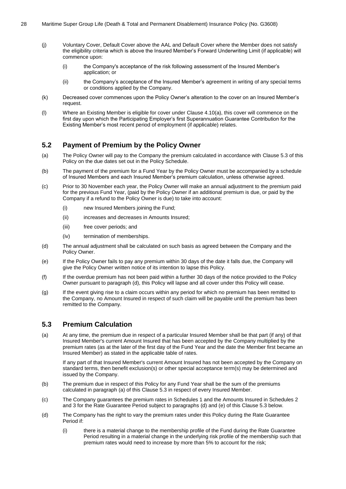- (j) Voluntary Cover, Default Cover above the AAL and Default Cover where the Member does not satisfy the eligibility criteria which is above the Insured Member's Forward Underwriting Limit (if applicable) will commence upon:
	- (i) the Company's acceptance of the risk following assessment of the Insured Member's application; or
	- (ii) the Company's acceptance of the Insured Member's agreement in writing of any special terms or conditions applied by the Company.
- (k) Decreased cover commences upon the Policy Owner's alteration to the cover on an Insured Member's request.
- <span id="page-27-2"></span>(l) Where an Existing Member is eligible for cover under Clause [4.10\(a\),](#page-21-1) this cover will commence on the first day upon which the Participating Employer's first Superannuation Guarantee Contribution for the Existing Member's most recent period of employment (if applicable) relates.

# <span id="page-27-0"></span>**5.2 Payment of Premium by the Policy Owner**

- (a) The Policy Owner will pay to the Company the premium calculated in accordance with Clause [5.3](#page-27-1) of this Policy on the due dates set out in the Policy Schedule.
- (b) The payment of the premium for a Fund Year by the Policy Owner must be accompanied by a schedule of Insured Members and each Insured Member's premium calculation, unless otherwise agreed.
- (c) Prior to 30 November each year, the Policy Owner will make an annual adjustment to the premium paid for the previous Fund Year, (paid by the Policy Owner if an additional premium is due, or paid by the Company if a refund to the Policy Owner is due) to take into account:
	- (i) new Insured Members joining the Fund;
	- (ii) increases and decreases in Amounts Insured;
	- (iii) free cover periods; and
	- (iv) termination of memberships.
- <span id="page-27-3"></span>(d) The annual adjustment shall be calculated on such basis as agreed between the Company and the Policy Owner.
- (e) If the Policy Owner fails to pay any premium within 30 days of the date it falls due, the Company will give the Policy Owner written notice of its intention to lapse this Policy.
- (f) If the overdue premium has not been paid within a further 30 days of the notice provided to the Policy Owner pursuant to paragraph [\(d\),](#page-27-3) this Policy will lapse and all cover under this Policy will cease.
- (g) If the event giving rise to a claim occurs within any period for which no premium has been remitted to the Company, no Amount Insured in respect of such claim will be payable until the premium has been remitted to the Company.

## <span id="page-27-1"></span>**5.3 Premium Calculation**

<span id="page-27-4"></span>(a) At any time, the premium due in respect of a particular Insured Member shall be that part (if any) of that Insured Member's current Amount Insured that has been accepted by the Company multiplied by the premium rates (as at the later of the first day of the Fund Year and the date the Member first became an Insured Member) as stated in the applicable table of rates.

If any part of that Insured Member's current Amount Insured has not been accepted by the Company on standard terms, then benefit exclusion(s) or other special acceptance term(s) may be determined and issued by the Company.

- (b) The premium due in respect of this Policy for any Fund Year shall be the sum of the premiums calculated in paragraph [\(a\)](#page-27-4) of this Clause [5.3](#page-27-1) in respect of every Insured Member.
- (c) The Company guarantees the premium rates in Schedules 1 and the Amounts Insured in Schedules 2 and 3 for the Rate Guarantee Period subject to paragraphs [\(d\)](#page-27-5) and [\(e\)](#page-28-5) of this Clause [5.3](#page-27-1) below.
- <span id="page-27-5"></span>(d) The Company has the right to vary the premium rates under this Policy during the Rate Guarantee Period if:
	- (i) there is a material change to the membership profile of the Fund during the Rate Guarantee Period resulting in a material change in the underlying risk profile of the membership such that premium rates would need to increase by more than 5% to account for the risk;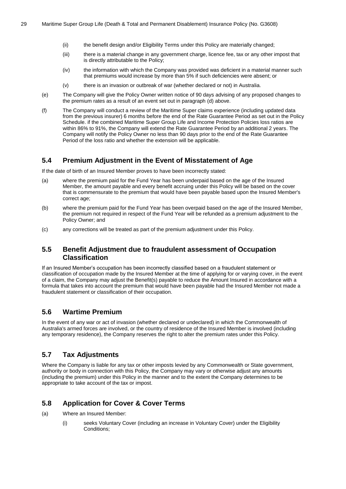- (ii) the benefit design and/or Eligibility Terms under this Policy are materially changed;
- (iii) there is a material change in any government charge, licence fee, tax or any other impost that is directly attributable to the Policy;
- (iv) the information with which the Company was provided was deficient in a material manner such that premiums would increase by more than 5% if such deficiencies were absent; or
- (v) there is an invasion or outbreak of war (whether declared or not) in Australia.
- <span id="page-28-5"></span>(e) The Company will give the Policy Owner written notice of 90 days advising of any proposed changes to the premium rates as a result of an event set out in paragraph [\(d\)](#page-27-5) above.
- (f) The Company will conduct a review of the Maritime Super claims experience (including updated data from the previous insurer) 6 months before the end of the Rate Guarantee Period as set out in the Policy Schedule. if the combined Maritime Super Group Life and Income Protection Policies loss ratios are within 86% to 91%, the Company will extend the Rate Guarantee Period by an additional 2 years. The Company will notify the Policy Owner no less than 90 days prior to the end of the Rate Guarantee Period of the loss ratio and whether the extension will be applicable.

# <span id="page-28-0"></span>**5.4 Premium Adjustment in the Event of Misstatement of Age**

If the date of birth of an Insured Member proves to have been incorrectly stated:

- (a) where the premium paid for the Fund Year has been underpaid based on the age of the Insured Member, the amount payable and every benefit accruing under this Policy will be based on the cover that is commensurate to the premium that would have been payable based upon the Insured Member's correct age;
- (b) where the premium paid for the Fund Year has been overpaid based on the age of the Insured Member, the premium not required in respect of the Fund Year will be refunded as a premium adjustment to the Policy Owner; and
- (c) any corrections will be treated as part of the premium adjustment under this Policy.

# <span id="page-28-1"></span>**5.5 Benefit Adjustment due to fraudulent assessment of Occupation Classification**

If an Insured Member's occupation has been incorrectly classified based on a fraudulent statement or classification of occupation made by the Insured Member at the time of applying for or varying cover, in the event of a claim, the Company may adjust the Benefit(s) payable to reduce the Amount Insured in accordance with a formula that takes into account the premium that would have been payable had the Insured Member not made a fraudulent statement or classification of their occupation.

# <span id="page-28-2"></span>**5.6 Wartime Premium**

In the event of any war or act of invasion (whether declared or undeclared) in which the Commonwealth of Australia's armed forces are involved, or the country of residence of the Insured Member is involved (including any temporary residence), the Company reserves the right to alter the premium rates under this Policy.

# <span id="page-28-3"></span>**5.7 Tax Adjustments**

Where the Company is liable for any tax or other imposts levied by any Commonwealth or State government, authority or body in connection with this Policy, the Company may vary or otherwise adjust any amounts (including the premium) under this Policy in the manner and to the extent the Company determines to be appropriate to take account of the tax or impost.

# <span id="page-28-4"></span>**5.8 Application for Cover & Cover Terms**

- (a) Where an Insured Member:
	- (i) seeks Voluntary Cover (including an increase in Voluntary Cover) under the Eligibility Conditions;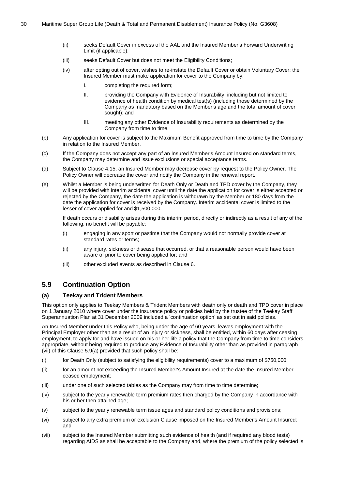- (ii) seeks Default Cover in excess of the AAL and the Insured Member's Forward Underwriting Limit (if applicable);
- (iii) seeks Default Cover but does not meet the Eligibility Conditions;
- (iv) after opting out of cover, wishes to re-instate the Default Cover or obtain Voluntary Cover; the Insured Member must make application for cover to the Company by:
	- I. completing the required form;
	- II. providing the Company with Evidence of Insurability, including but not limited to evidence of health condition by medical test(s) (including those determined by the Company as mandatory based on the Member's age and the total amount of cover sought); and
	- III. meeting any other Evidence of Insurability requirements as determined by the Company from time to time.
- (b) Any application for cover is subject to the Maximum Benefit approved from time to time by the Company in relation to the Insured Member.
- (c) If the Company does not accept any part of an Insured Member's Amount Insured on standard terms, the Company may determine and issue exclusions or special acceptance terms.
- (d) Subject to Clause [4.15,](#page-24-0) an Insured Member may decrease cover by request to the Policy Owner. The Policy Owner will decrease the cover and notify the Company in the renewal report.
- (e) Whilst a Member is being underwritten for Death Only or Death and TPD cover by the Company, they will be provided with interim accidental cover until the date the application for cover is either accepted or rejected by the Company, the date the application is withdrawn by the Member or 180 days from the date the application for cover is received by the Company. Interim accidental cover is limited to the lesser of cover applied for and \$1,500,000.

If death occurs or disability arises during this interim period, directly or indirectly as a result of any of the following, no benefit will be payable:

- (i) engaging in any sport or pastime that the Company would not normally provide cover at standard rates or terms;
- (ii) any injury, sickness or disease that occurred, or that a reasonable person would have been aware of prior to cover being applied for; and
- (iii) other excluded events as described in Clause [6.](#page-36-0)

# <span id="page-29-0"></span>**5.9 Continuation Option**

#### <span id="page-29-2"></span>**(a) Teekay and Trident Members**

This option only applies to Teekay Members & Trident Members with death only or death and TPD cover in place on 1 January 2010 where cover under the insurance policy or policies held by the trustee of the Teekay Staff Superannuation Plan at 31 December 2009 included a 'continuation option' as set out in said policies.

An Insured Member under this Policy who, being under the age of 60 years, leaves employment with the Principal Employer other than as a result of an injury or sickness, shall be entitled, within 60 days after ceasing employment, to apply for and have issued on his or her life a policy that the Company from time to time considers appropriate, without being required to produce any Evidence of Insurability other than as provided in paragraph [\(vii\)](#page-29-1) of this Clause [5.9](#page-29-0)[\(a\)](#page-29-2) provided that such policy shall be:

- (i) for Death Only (subject to satisfying the eligibility requirements) cover to a maximum of \$750,000;
- (ii) for an amount not exceeding the Insured Member's Amount Insured at the date the Insured Member ceased employment;
- (iii) under one of such selected tables as the Company may from time to time determine;
- (iv) subject to the yearly renewable term premium rates then charged by the Company in accordance with his or her then attained age;
- (v) subject to the yearly renewable term issue ages and standard policy conditions and provisions;
- (vi) subject to any extra premium or exclusion Clause imposed on the Insured Member's Amount Insured; and
- <span id="page-29-1"></span>(vii) subject to the Insured Member submitting such evidence of health (and if required any blood tests) regarding AIDS as shall be acceptable to the Company and, where the premium of the policy selected is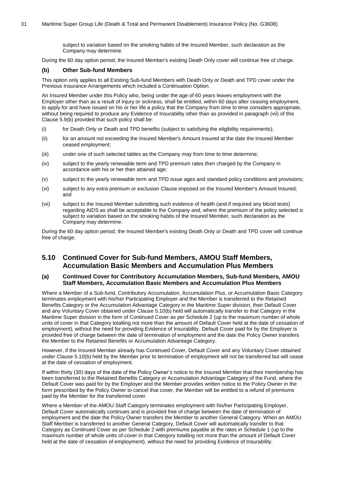subject to variation based on the smoking habits of the Insured Member, such declaration as the Company may determine.

During the 60 day option period, the Insured Member's existing Death Only cover will continue free of charge.

#### <span id="page-30-2"></span>**(b) Other Sub-fund Members**

This option only applies to all Existing Sub-fund Members with Death Only or Death and TPD cover under the Previous Insurance Arrangements which included a Continuation Option.

An Insured Member under this Policy who, being under the age of 60 years leaves employment with the Employer other than as a result of injury or sickness, shall be entitled, within 60 days after ceasing employment, to apply for and have issued on his or her life a policy that the Company from time to time considers appropriate, without being required to produce any Evidence of Insurability other than as provided in paragraph [\(vii\)](#page-30-1) of this Clause [5.9](#page-29-0)[\(b\)](#page-30-2) provided that such policy shall be:

- (i) for Death Only or Death and TPD benefits (subject to satisfying the eligibility requirements);
- (ii) for an amount not exceeding the Insured Member's Amount Insured at the date the Insured Member ceased employment;
- (iii) under one of such selected tables as the Company may from time to time determine;
- (iv) subject to the yearly renewable term and TPD premium rates then charged by the Company in accordance with his or her then attained age;
- (v) subject to the yearly renewable term and TPD issue ages and standard policy conditions and provisions;
- (vi) subject to any extra premium or exclusion Clause imposed on the Insured Member's Amount Insured; and
- <span id="page-30-1"></span>(vii) subject to the Insured Member submitting such evidence of health (and if required any blood tests) regarding AIDS as shall be acceptable to the Company and, where the premium of the policy selected is subject to variation based on the smoking habits of the Insured Member, such declaration as the Company may determine.

During the 60 day option period, the Insured Member's existing Death Only or Death and TPD cover will continue free of charge.

# <span id="page-30-0"></span>**5.10 Continued Cover for Sub-fund Members, AMOU Staff Members, Accumulation Basic Members and Accumulation Plus Members**

#### **(a) Continued Cover for Contributory Accumulation Members, Sub-fund Members, AMOU Staff Members, Accumulation Basic Members and Accumulation Plus Members**

Where a Member of a Sub-fund, Contributory Accumulation, Accumulation Plus, or Accumulation Basic Category terminates employment with his/her Participating Employer and the Member is transferred to the Retained Benefits Category or the Accumulation Advantage Category in the Maritime Super division, their Default Cover and any Voluntary Cover obtained under Clause [5.10](#page-30-0)[\(b\)](#page-31-2) held will automatically transfer to that Category in the Maritime Super division in the form of Continued Cover as per Schedule 2 (up to the maximum number of whole units of cover in that Category totalling not more than the amount of Default Cover held at the date of cessation of employment), without the need for providing Evidence of Insurability. Default Cover paid for by the Employer is provided free of charge between the date of termination of employment and the date the Policy Owner transfers the Member to the Retained Benefits or Accumulation Advantage Category.

However, if the Insured Member already has Continued Cover, Default Cover and any Voluntary Cover obtained under Clause [5.10](#page-30-0)[\(b\)](#page-31-2) held by the Member prior to termination of employment will not be transferred but will cease at the date of cessation of employment.

If within thirty (30) days of the date of the Policy Owner's notice to the Insured Member that their membership has been transferred to the Retained Benefits Category or Accumulation Advantage Category of the Fund, where the Default Cover was paid for by the Employer and the Member provides written notice to the Policy Owner in the form prescribed by the Policy Owner to cancel that cover, the Member will be entitled to a refund of premiums paid by the Member for the transferred cover.

Where a Member of the AMOU Staff Category terminates employment with his/her Participating Employer, Default Cover automatically continues and is provided free of charge between the date of termination of employment and the date the Policy Owner transfers the Member to another General Category. When an AMOU Staff Member is transferred to another General Category, Default Cover will automatically transfer to that Category as Continued Cover as per Schedule 2 with premiums payable at the rates in Schedule 1 (up to the maximum number of whole units of cover in that Category totalling not more than the amount of Default Cover held at the date of cessation of employment), without the need for providing Evidence of Insurability.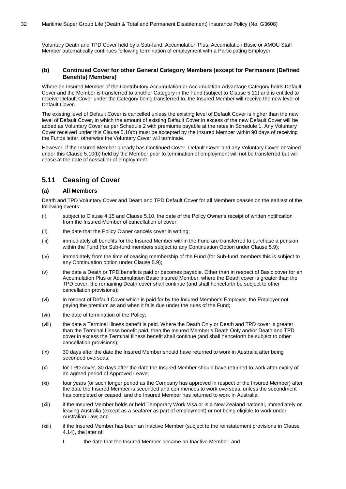Voluntary Death and TPD Cover held by a Sub-fund, Accumulation Plus, Accumulation Basic or AMOU Staff Member automatically continues following termination of employment with a Participating Employer.

#### <span id="page-31-2"></span>**(b) Continued Cover for other General Category Members (except for Permanent (Defined Benefits) Members)**

Where an Insured Member of the Contributory Accumulation or Accumulation Advantage Category holds Default Cover and the Member is transferred to another Category in the Fund (subject to Clause [5.11\)](#page-31-0) and is entitled to receive Default Cover under the Category being transferred to, the Insured Member will receive the new level of Default Cover.

The existing level of Default Cover is cancelled unless the existing level of Default Cover is higher than the new level of Default Cover, in which the amount of existing Default Cover in excess of the new Default Cover will be added as Voluntary Cover as per Schedule 2 with premiums payable at the rates in Schedule 1. Any Voluntary Cover received under this Clause [5.10](#page-30-0)[\(b\)](#page-31-2) must be accepted by the Insured Member within 90 days of receiving the Funds letter, otherwise the Voluntary Cover will terminate.

However, if the Insured Member already has Continued Cover, Default Cover and any Voluntary Cover obtained under this Clause [5.10](#page-30-0)[\(b\)](#page-31-2) held by the Member prior to termination of employment will not be transferred but will cease at the date of cessation of employment.

# <span id="page-31-0"></span>**5.11 Ceasing of Cover**

#### <span id="page-31-3"></span>**(a) All Members**

Death and TPD Voluntary Cover and Death and TPD Default Cover for all Members ceases on the earliest of the following events:

- (i) subject to Clause [4.15](#page-24-0) and Clause [5.10,](#page-30-0) the date of the Policy Owner's receipt of written notification from the Insured Member of cancellation of cover;
- (ii) the date that the Policy Owner cancels cover in writing;
- (iii) immediately all benefits for the Insured Member within the Fund are transferred to purchase a pension within the Fund (for Sub-fund members subject to any Continuation Option under Clause [5.9\)](#page-29-0);
- (iv) immediately from the time of ceasing membership of the Fund (for Sub-fund members this is subject to any Continuation option under Clause [5.9\)](#page-29-0);
- (v) the date a Death or TPD benefit is paid or becomes payable. Other than in respect of Basic cover for an Accumulation Plus or Accumulation Basic Insured Member, where the Death cover is greater than the TPD cover, the remaining Death cover shall continue (and shall henceforth be subject to other cancellation provisions);
- (vi) in respect of Default Cover which is paid for by the Insured Member's Employer, the Employer not paying the premium as and when it falls due under the rules of the Fund;
- (vii) the date of termination of the Policy;
- (viii) the date a Terminal Illness benefit is paid. Where the Death Only or Death and TPD cover is greater than the Terminal Illness benefit paid, then the Insured Member's Death Only and/or Death and TPD cover in excess the Terminal Illness benefit shall continue (and shall henceforth be subject to other cancellation provisions);
- (ix) 30 days after the date the Insured Member should have returned to work in Australia after being seconded overseas;
- (x) for TPD cover, 30 days after the date the Insured Member should have returned to work after expiry of an agreed period of Approved Leave;
- (xi) four years (or such longer period as the Company has approved in respect of the Insured Member) after the date the Insured Member is seconded and commences to work overseas, unless the secondment has completed or ceased, and the Insured Member has returned to work in Australia;
- (xii) if the Insured Member holds or held Temporary Work Visa or is a New Zealand national, immediately on leaving Australia (except as a seafarer as part of employment) or not being eligible to work under Australian Law; and
- <span id="page-31-1"></span>(xiii) if the Insured Member has been an Inactive Member (subject to the reinstatement provisions in Clause [4.14\)](#page-23-0), the later of:
	- I. the date that the Insured Member became an Inactive Member; and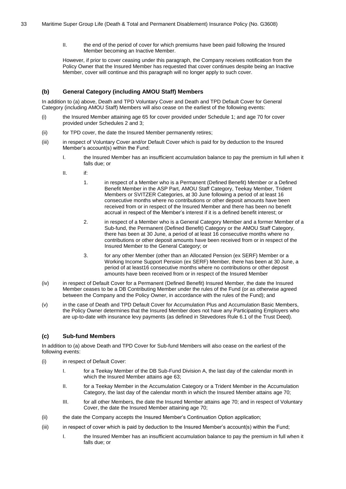II. the end of the period of cover for which premiums have been paid following the Insured Member becoming an Inactive Member.

However, if prior to cover ceasing under this paragraph, the Company receives notification from the Policy Owner that the Insured Member has requested that cover continues despite being an Inactive Member, cover will continue and this paragraph will no longer apply to such cover.

#### **(b) General Category (including AMOU Staff) Members**

In addition to [\(a\)](#page-31-3) above, Death and TPD Voluntary Cover and Death and TPD Default Cover for General Category (including AMOU Staff) Members will also cease on the earliest of the following events:

- (i) the Insured Member attaining age 65 for cover provided under Schedule 1; and age 70 for cover provided under Schedules 2 and 3;
- (ii) for TPD cover, the date the Insured Member permanently retires;
- (iii) in respect of Voluntary Cover and/or Default Cover which is paid for by deduction to the Insured Member's account(s) within the Fund:
	- I. the Insured Member has an insufficient accumulation balance to pay the premium in full when it falls due; or
	- II. if:
		- 1. in respect of a Member who is a Permanent (Defined Benefit) Member or a Defined Benefit Member in the ASP Part, AMOU Staff Category, Teekay Member, Trident Members or SVITZER Categories, at 30 June following a period of at least 16 consecutive months where no contributions or other deposit amounts have been received from or in respect of the Insured Member and there has been no benefit accrual in respect of the Member's interest if it is a defined benefit interest; or
		- 2. in respect of a Member who is a General Category Member and a former Member of a Sub-fund, the Permanent (Defined Benefit) Category or the AMOU Staff Category, there has been at 30 June, a period of at least 16 consecutive months where no contributions or other deposit amounts have been received from or in respect of the Insured Member to the General Category; or
		- 3. for any other Member (other than an Allocated Pension (ex SERF) Member or a Working Income Support Pension (ex SERF) Member, there has been at 30 June, a period of at least16 consecutive months where no contributions or other deposit amounts have been received from or in respect of the Insured Member
- (iv) in respect of Default Cover for a Permanent (Defined Benefit) Insured Member, the date the Insured Member ceases to be a DB Contributing Member under the rules of the Fund (or as otherwise agreed between the Company and the Policy Owner, in accordance with the rules of the Fund); and
- (v) in the case of Death and TPD Default Cover for Accumulation Plus and Accumulation Basic Members, the Policy Owner determines that the Insured Member does not have any Participating Employers who are up-to-date with insurance levy payments (as defined in Stevedores Rule 6.1 of the Trust Deed).

## **(c) Sub-fund Members**

In addition to [\(a\)](#page-31-3) above Death and TPD Cover for Sub-fund Members will also cease on the earliest of the following events:

- (i) in respect of Default Cover:
	- I. for a Teekay Member of the DB Sub-Fund Division A, the last day of the calendar month in which the Insured Member attains age 63;
	- II. for a Teekay Member in the Accumulation Category or a Trident Member in the Accumulation Category, the last day of the calendar month in which the Insured Member attains age 70;
	- III. for all other Members, the date the Insured Member attains age 70; and in respect of Voluntary Cover, the date the Insured Member attaining age 70;
- (ii) the date the Company accepts the Insured Member's Continuation Option application;
- (iii) in respect of cover which is paid by deduction to the Insured Member's account(s) within the Fund;
	- I. the Insured Member has an insufficient accumulation balance to pay the premium in full when it falls due; or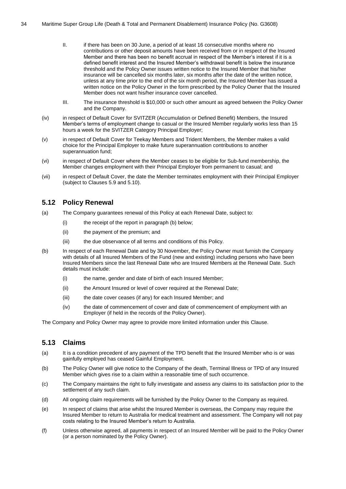- II. if there has been on 30 June, a period of at least 16 consecutive months where no contributions or other deposit amounts have been received from or in respect of the Insured Member and there has been no benefit accrual in respect of the Member's interest if it is a defined benefit interest and the Insured Member's withdrawal benefit is below the insurance threshold and the Policy Owner issues written notice to the Insured Member that his/her insurance will be cancelled six months later, six months after the date of the written notice, unless at any time prior to the end of the six month period, the Insured Member has issued a written notice on the Policy Owner in the form prescribed by the Policy Owner that the Insured Member does not want his/her insurance cover cancelled.
- III. The insurance threshold is \$10,000 or such other amount as agreed between the Policy Owner and the Company.
- (iv) in respect of Default Cover for SVITZER (Accumulation or Defined Benefit) Members, the Insured Member's terms of employment change to casual or the Insured Member regularly works less than 15 hours a week for the SVITZER Category Principal Employer;
- (v) in respect of Default Cover for Teekay Members and Trident Members, the Member makes a valid choice for the Principal Employer to make future superannuation contributions to another superannuation fund;
- (vi) in respect of Default Cover where the Member ceases to be eligible for Sub-fund membership, the Member changes employment with their Principal Employer from permanent to casual; and
- (vii) in respect of Default Cover, the date the Member terminates employment with their Principal Employer (subject to Clauses [5.9](#page-29-0) an[d 5.10\)](#page-30-0).

## <span id="page-33-0"></span>**5.12 Policy Renewal**

- (a) The Company guarantees renewal of this Policy at each Renewal Date, subject to:
	- (i) the receipt of the report in paragraph [\(b\)](#page-33-2) below;
	- (ii) the payment of the premium; and
	- (iii) the due observance of all terms and conditions of this Policy.
- <span id="page-33-2"></span>(b) In respect of each Renewal Date and by 30 November, the Policy Owner must furnish the Company with details of all Insured Members of the Fund (new and existing) including persons who have been Insured Members since the last Renewal Date who are Insured Members at the Renewal Date. Such details must include:
	- (i) the name, gender and date of birth of each Insured Member;
	- (ii) the Amount Insured or level of cover required at the Renewal Date;
	- (iii) the date cover ceases (if any) for each Insured Member; and
	- (iv) the date of commencement of cover and date of commencement of employment with an Employer (if held in the records of the Policy Owner).

The Company and Policy Owner may agree to provide more limited information under this Clause.

# <span id="page-33-1"></span>**5.13 Claims**

- (a) It is a condition precedent of any payment of the TPD benefit that the Insured Member who is or was gainfully employed has ceased Gainful Employment.
- (b) The Policy Owner will give notice to the Company of the death, Terminal Illness or TPD of any Insured Member which gives rise to a claim within a reasonable time of such occurrence.
- (c) The Company maintains the right to fully investigate and assess any claims to its satisfaction prior to the settlement of any such claim.
- (d) All ongoing claim requirements will be furnished by the Policy Owner to the Company as required.
- (e) In respect of claims that arise whilst the Insured Member is overseas, the Company may require the Insured Member to return to Australia for medical treatment and assessment. The Company will not pay costs relating to the Insured Member's return to Australia.
- (f) Unless otherwise agreed, all payments in respect of an Insured Member will be paid to the Policy Owner (or a person nominated by the Policy Owner).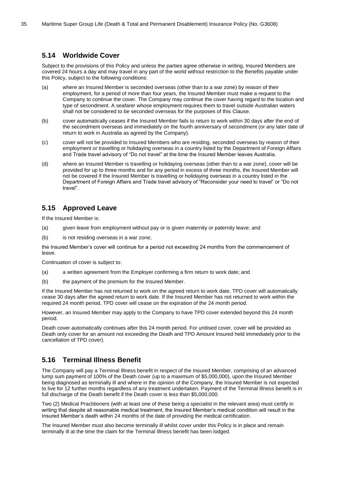## <span id="page-34-0"></span>**5.14 Worldwide Cover**

Subject to the provisions of this Policy and unless the parties agree otherwise in writing, Insured Members are covered 24 hours a day and may travel in any part of the world without restriction to the Benefits payable under this Policy, subject to the following conditions:

- (a) where an Insured Member is seconded overseas (other than to a war zone) by reason of their employment, for a period of more than four years, the Insured Member must make a request to the Company to continue the cover. The Company may continue the cover having regard to the location and type of secondment. A seafarer whose employment requires them to travel outside Australian waters shall not be considered to be seconded overseas for the purposes of this Clause.
- <span id="page-34-3"></span>(b) cover automatically ceases if the Insured Member fails to return to work within 30 days after the end of the secondment overseas and immediately on the fourth anniversary of secondment (or any later date of return to work in Australia as agreed by the Company).
- (c) cover will not be provided to Insured Members who are residing, seconded overseas by reason of their employment or travelling or holidaying overseas in a country listed by the Department of Foreign Affairs and Trade travel advisory of "Do not travel" at the time the Insured Member leaves Australia.
- (d) where an Insured Member is travelling or holidaying overseas (other than to a war zone), cover will be provided for up to three months and for any period in excess of three months, the Insured Member will not be covered if the Insured Member is travelling or holidaying overseas in a country listed in the Department of Foreign Affairs and Trade travel advisory of "Reconsider your need to travel" or "Do not travel".

# <span id="page-34-1"></span>**5.15 Approved Leave**

If the Insured Member is:

- (a) given leave from employment without pay or is given maternity or paternity leave; and
- (b) is not residing overseas in a war zone;

the Insured Member's cover will continue for a period not exceeding 24 months from the commencement of leave.

Continuation of cover is subject to:

- (a) a written agreement from the Employer confirming a firm return to work date; and
- (b) the payment of the premium for the Insured Member.

If the Insured Member has not returned to work on the agreed return to work date, TPD cover will automatically cease 30 days after the agreed return to work date. If the Insured Member has not returned to work within the required 24 month period, TPD cover will cease on the expiration of the 24 month period.

However, an Insured Member may apply to the Company to have TPD cover extended beyond this 24 month period.

Death cover automatically continues after this 24 month period. For unitised cover, cover will be provided as Death only cover for an amount not exceeding the Death and TPD Amount Insured held immediately prior to the cancellation of TPD cover).

# <span id="page-34-2"></span>**5.16 Terminal Illness Benefit**

The Company will pay a Terminal Illness benefit in respect of the Insured Member, comprising of an advanced lump sum payment of 100% of the Death cover (up to a maximum of \$5,000,000), upon the Insured Member being diagnosed as terminally ill and where in the opinion of the Company, the Insured Member is not expected to live for 12 further months regardless of any treatment undertaken. Payment of the Terminal Illness benefit is in full discharge of the Death benefit if the Death cover is less than \$5,000,000.

Two (2) Medical Practitioners (with at least one of these being a specialist in the relevant area) must certify in writing that despite all reasonable medical treatment, the Insured Member's medical condition will result in the Insured Member's death within 24 months of the date of providing the medical certification.

The Insured Member must also become terminally ill whilst cover under this Policy is in place and remain terminally ill at the time the claim for the Terminal Illness benefit has been lodged.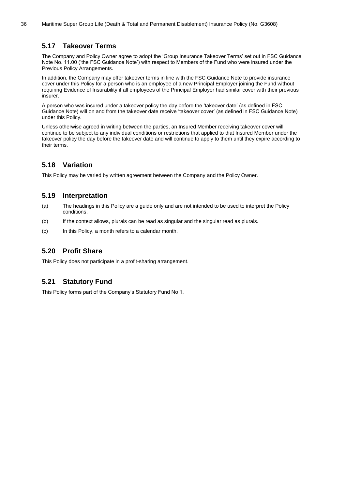# <span id="page-35-0"></span>**5.17 Takeover Terms**

The Company and Policy Owner agree to adopt the 'Group Insurance Takeover Terms' set out in FSC Guidance Note No. 11.00 ('the FSC Guidance Note') with respect to Members of the Fund who were insured under the Previous Policy Arrangements.

In addition, the Company may offer takeover terms in line with the FSC Guidance Note to provide insurance cover under this Policy for a person who is an employee of a new Principal Employer joining the Fund without requiring Evidence of Insurability if all employees of the Principal Employer had similar cover with their previous insurer.

A person who was insured under a takeover policy the day before the 'takeover date' (as defined in FSC Guidance Note) will on and from the takeover date receive 'takeover cover' (as defined in FSC Guidance Note) under this Policy.

Unless otherwise agreed in writing between the parties, an Insured Member receiving takeover cover will continue to be subject to any individual conditions or restrictions that applied to that Insured Member under the takeover policy the day before the takeover date and will continue to apply to them until they expire according to their terms.

# <span id="page-35-1"></span>**5.18 Variation**

This Policy may be varied by written agreement between the Company and the Policy Owner.

# <span id="page-35-2"></span>**5.19 Interpretation**

- (a) The headings in this Policy are a guide only and are not intended to be used to interpret the Policy conditions.
- (b) If the context allows, plurals can be read as singular and the singular read as plurals.
- (c) In this Policy, a month refers to a calendar month.

# <span id="page-35-3"></span>**5.20 Profit Share**

This Policy does not participate in a profit-sharing arrangement.

# <span id="page-35-4"></span>**5.21 Statutory Fund**

This Policy forms part of the Company's Statutory Fund No 1.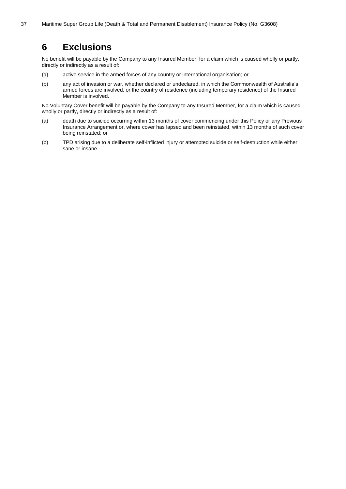# <span id="page-36-0"></span>**6 Exclusions**

No benefit will be payable by the Company to any Insured Member, for a claim which is caused wholly or partly, directly or indirectly as a result of:

- (a) active service in the armed forces of any country or international organisation; or
- (b) any act of invasion or war, whether declared or undeclared, in which the Commonwealth of Australia's armed forces are involved, or the country of residence (including temporary residence) of the Insured Member is involved.

No Voluntary Cover benefit will be payable by the Company to any Insured Member, for a claim which is caused wholly or partly, directly or indirectly as a result of:

- (a) death due to suicide occurring within 13 months of cover commencing under this Policy or any Previous Insurance Arrangement or, where cover has lapsed and been reinstated, within 13 months of such cover being reinstated; or
- (b) TPD arising due to a deliberate self-inflicted injury or attempted suicide or self-destruction while either sane or insane.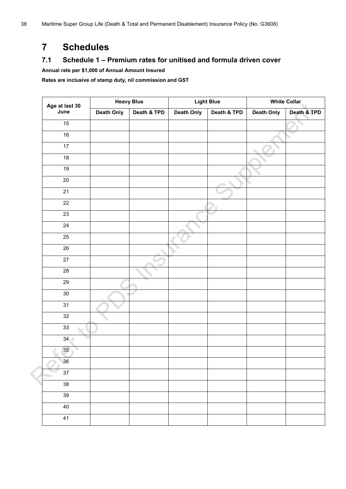# **Schedules**

# **7.1 Schedule 1 – Premium rates for unitised and formula driven cover**

**Annual rate per \$1,000 of Annual Amount Insured**

**Rates are inclusive of stamp duty, nil commission and GST**

|                        | <b>Heavy Blue</b> |             | <b>Light Blue</b> |             | <b>White Collar</b> |             |
|------------------------|-------------------|-------------|-------------------|-------------|---------------------|-------------|
| Age at last 30<br>June | <b>Death Only</b> | Death & TPD | Death Only        | Death & TPD | <b>Death Only</b>   | Death & TPD |
| 15                     |                   |             |                   |             |                     |             |
| 16                     |                   |             |                   |             |                     |             |
| 17                     |                   |             |                   |             |                     |             |
| 18                     |                   |             |                   |             |                     |             |
| 19                     |                   |             |                   |             |                     |             |
| $\overline{20}$        |                   |             |                   |             |                     |             |
| 21                     |                   |             |                   |             |                     |             |
| $\overline{22}$        |                   |             |                   |             |                     |             |
| 23                     |                   |             |                   |             |                     |             |
| $\overline{24}$        |                   |             |                   |             |                     |             |
| 25                     |                   |             |                   |             |                     |             |
| 26                     |                   |             |                   |             |                     |             |
| 27                     |                   |             |                   |             |                     |             |
| 28                     |                   |             |                   |             |                     |             |
| 29                     |                   |             |                   |             |                     |             |
| $30\,$                 |                   |             |                   |             |                     |             |
| 31                     |                   |             |                   |             |                     |             |
| $32\,$                 |                   |             |                   |             |                     |             |
| 33                     |                   |             |                   |             |                     |             |
| 34 <sub>1</sub>        |                   |             |                   |             |                     |             |
| 35                     |                   |             |                   |             |                     |             |
| 36                     |                   |             |                   |             |                     |             |
| 37                     |                   |             |                   |             |                     |             |
| 38                     |                   |             |                   |             |                     |             |
| 39                     |                   |             |                   |             |                     |             |
| 40                     |                   |             |                   |             |                     |             |
| 41                     |                   |             |                   |             |                     |             |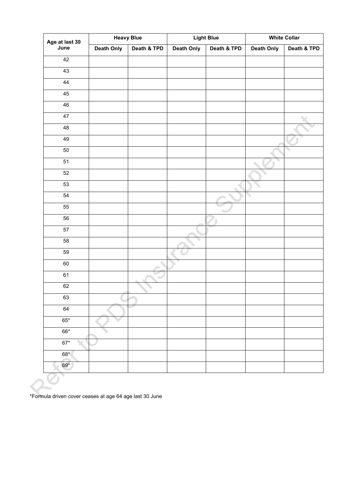| Age at last 30  | <b>Heavy Blue</b> |             | <b>Light Blue</b> |             | <b>White Collar</b> |             |
|-----------------|-------------------|-------------|-------------------|-------------|---------------------|-------------|
| June            | <b>Death Only</b> | Death & TPD | <b>Death Only</b> | Death & TPD | Death Only          | Death & TPD |
| 42              |                   |             |                   |             |                     |             |
| 43              |                   |             |                   |             |                     |             |
| 44              |                   |             |                   |             |                     |             |
| 45              |                   |             |                   |             |                     |             |
| 46              |                   |             |                   |             |                     |             |
| 47              |                   |             |                   |             |                     |             |
| 48              |                   |             |                   |             |                     |             |
| 49              |                   |             |                   |             |                     |             |
| 50              |                   |             |                   |             |                     |             |
| 51              |                   |             |                   |             |                     |             |
| 52              |                   |             |                   |             |                     |             |
| 53              |                   |             |                   |             |                     |             |
| 54              |                   |             |                   |             | ٠                   |             |
| 55              |                   |             |                   |             |                     |             |
| 56              |                   |             |                   |             |                     |             |
| $\overline{57}$ |                   |             |                   |             |                     |             |
| 58              |                   |             |                   |             |                     |             |
| 59              |                   |             |                   |             |                     |             |
| 60              |                   |             |                   |             |                     |             |
| 61              |                   |             |                   |             |                     |             |
| 62              |                   |             |                   |             |                     |             |
| 63              |                   |             |                   |             |                     |             |
| 64              |                   |             |                   |             |                     |             |
| $65*$           |                   |             |                   |             |                     |             |
| $66*$           |                   |             |                   |             |                     |             |
| $67*$           |                   |             |                   |             |                     |             |
| $68*$           |                   |             |                   |             |                     |             |
| 69*             |                   |             |                   |             |                     |             |
|                 |                   |             |                   |             |                     |             |

\*Formula driven cover ceases at age 64 age last 30 June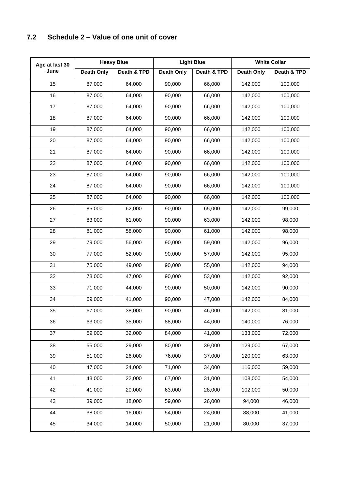# <span id="page-39-0"></span>**7.2 Schedule 2 – Value of one unit of cover**

| Age at last 30 | <b>Heavy Blue</b> |             | <b>Light Blue</b> |             | <b>White Collar</b> |             |
|----------------|-------------------|-------------|-------------------|-------------|---------------------|-------------|
| June           | <b>Death Only</b> | Death & TPD | Death Only        | Death & TPD | <b>Death Only</b>   | Death & TPD |
| 15             | 87,000            | 64,000      | 90,000            | 66,000      | 142,000             | 100,000     |
| 16             | 87,000            | 64,000      | 90,000            | 66,000      | 142,000             | 100,000     |
| 17             | 87,000            | 64,000      | 90,000            | 66,000      | 142,000             | 100,000     |
| 18             | 87,000            | 64,000      | 90,000            | 66,000      | 142,000             | 100,000     |
| 19             | 87,000            | 64,000      | 90,000            | 66,000      | 142,000             | 100,000     |
| 20             | 87,000            | 64,000      | 90,000            | 66,000      | 142,000             | 100,000     |
| 21             | 87,000            | 64,000      | 90,000            | 66,000      | 142,000             | 100,000     |
| 22             | 87,000            | 64,000      | 90,000            | 66,000      | 142,000             | 100,000     |
| 23             | 87,000            | 64,000      | 90,000            | 66,000      | 142,000             | 100,000     |
| 24             | 87,000            | 64,000      | 90,000            | 66,000      | 142,000             | 100,000     |
| 25             | 87,000            | 64,000      | 90,000            | 66,000      | 142,000             | 100,000     |
| 26             | 85,000            | 62,000      | 90,000            | 65,000      | 142,000             | 99,000      |
| 27             | 83,000            | 61,000      | 90,000            | 63,000      | 142,000             | 98,000      |
| 28             | 81,000            | 58,000      | 90,000            | 61,000      | 142,000             | 98,000      |
| 29             | 79,000            | 56,000      | 90,000            | 59,000      | 142,000             | 96,000      |
| 30             | 77,000            | 52,000      | 90,000            | 57,000      | 142,000             | 95,000      |
| 31             | 75,000            | 49,000      | 90,000            | 55,000      | 142,000             | 94,000      |
| 32             | 73,000            | 47,000      | 90,000            | 53,000      | 142,000             | 92,000      |
| 33             | 71,000            | 44,000      | 90,000            | 50,000      | 142,000             | 90,000      |
| 34             | 69,000            | 41,000      | 90,000            | 47,000      | 142,000             | 84,000      |
| 35             | 67,000            | 38,000      | 90,000            | 46,000      | 142,000             | 81,000      |
| 36             | 63,000            | 35,000      | 88,000            | 44,000      | 140,000             | 76,000      |
| 37             | 59,000            | 32,000      | 84,000            | 41,000      | 133,000             | 72,000      |
| 38             | 55,000            | 29,000      | 80,000            | 39,000      | 129,000             | 67,000      |
| 39             | 51,000            | 26,000      | 76,000            | 37,000      | 120,000             | 63,000      |
| 40             | 47,000            | 24,000      | 71,000            | 34,000      | 116,000             | 59,000      |
| 41             | 43,000            | 22,000      | 67,000            | 31,000      | 108,000             | 54,000      |
| 42             | 41,000            | 20,000      | 63,000            | 28,000      | 102,000             | 50,000      |
| 43             | 39,000            | 18,000      | 59,000            | 26,000      | 94,000              | 46,000      |
| 44             | 38,000            | 16,000      | 54,000            | 24,000      | 88,000              | 41,000      |
| 45             | 34,000            | 14,000      | 50,000            | 21,000      | 80,000              | 37,000      |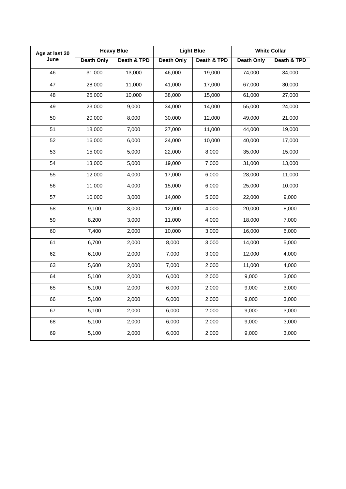| Age at last 30 | <b>Heavy Blue</b> |             | <b>Light Blue</b> |             | <b>White Collar</b> |             |
|----------------|-------------------|-------------|-------------------|-------------|---------------------|-------------|
| June           | <b>Death Only</b> | Death & TPD | <b>Death Only</b> | Death & TPD | <b>Death Only</b>   | Death & TPD |
| 46             | 31,000            | 13,000      | 46,000            | 19,000      | 74,000              | 34,000      |
| 47             | 28,000            | 11,000      | 41,000            | 17,000      | 67,000              | 30,000      |
| 48             | 25,000            | 10,000      | 38,000            | 15,000      | 61,000              | 27,000      |
| 49             | 23,000            | 9,000       | 34,000            | 14,000      | 55,000              | 24,000      |
| 50             | 20,000            | 8,000       | 30,000            | 12,000      | 49,000              | 21,000      |
| 51             | 18,000            | 7,000       | 27,000            | 11,000      | 44,000              | 19,000      |
| 52             | 16,000            | 6,000       | 24,000            | 10,000      | 40,000              | 17,000      |
| 53             | 15,000            | 5,000       | 22,000            | 8,000       | 35,000              | 15,000      |
| 54             | 13,000            | 5,000       | 19,000            | 7,000       | 31,000              | 13,000      |
| 55             | 12,000            | 4,000       | 17,000            | 6,000       | 28,000              | 11,000      |
| 56             | 11,000            | 4,000       | 15,000            | 6,000       | 25,000              | 10,000      |
| 57             | 10,000            | 3,000       | 14,000            | 5,000       | 22,000              | 9,000       |
| 58             | 9,100             | 3,000       | 12,000            | 4,000       | 20,000              | 8,000       |
| 59             | 8,200             | 3,000       | 11,000            | 4,000       | 18,000              | 7,000       |
| 60             | 7,400             | 2,000       | 10,000            | 3,000       | 16,000              | 6,000       |
| 61             | 6,700             | 2,000       | 8,000             | 3,000       | 14,000              | 5,000       |
| 62             | 6,100             | 2,000       | 7,000             | 3,000       | 12,000              | 4,000       |
| 63             | 5,600             | 2,000       | 7,000             | 2,000       | 11,000              | 4,000       |
| 64             | 5,100             | 2,000       | 6,000             | 2,000       | 9,000               | 3,000       |
| 65             | 5,100             | 2,000       | 6,000             | 2,000       | 9,000               | 3,000       |
| 66             | 5,100             | 2,000       | 6,000             | 2,000       | 9,000               | 3,000       |
| 67             | 5,100             | 2,000       | 6,000             | 2,000       | 9,000               | 3,000       |
| 68             | 5,100             | 2,000       | 6,000             | 2,000       | 9,000               | 3,000       |
| 69             | 5,100             | 2,000       | 6,000             | 2,000       | 9,000               | 3,000       |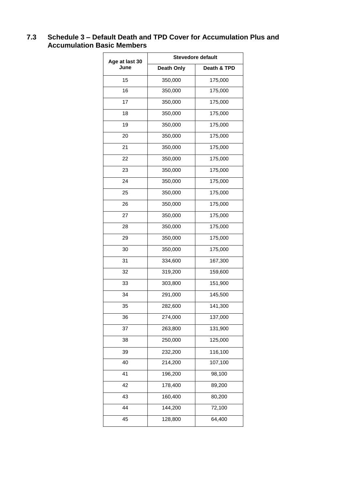# <span id="page-41-0"></span>**7.3 Schedule 3 – Default Death and TPD Cover for Accumulation Plus and Accumulation Basic Members**

| Age at last 30 | <b>Stevedore default</b> |             |  |  |
|----------------|--------------------------|-------------|--|--|
| June           | <b>Death Only</b>        | Death & TPD |  |  |
| 15             | 350,000                  | 175,000     |  |  |
| 16             | 350,000                  | 175,000     |  |  |
| 17             | 350,000                  | 175,000     |  |  |
| 18             | 350,000                  | 175,000     |  |  |
| 19             | 350,000                  | 175,000     |  |  |
| 20             | 350,000                  | 175,000     |  |  |
| 21             | 350,000                  | 175,000     |  |  |
| 22             | 350,000                  | 175,000     |  |  |
| 23             | 350,000                  | 175,000     |  |  |
| 24             | 350,000                  | 175,000     |  |  |
| 25             | 350,000                  | 175,000     |  |  |
| 26             | 350,000                  | 175,000     |  |  |
| 27             | 350,000                  | 175,000     |  |  |
| 28             | 350,000                  | 175,000     |  |  |
| 29             | 350,000                  | 175,000     |  |  |
| 30             | 350,000                  | 175,000     |  |  |
| 31             | 334,600                  | 167,300     |  |  |
| 32             | 319,200                  | 159,600     |  |  |
| 33             | 303,800                  | 151,900     |  |  |
| 34             | 291,000                  | 145,500     |  |  |
| 35             | 282,600                  | 141,300     |  |  |
| 36             | 274,000                  | 137,000     |  |  |
| 37             | 263,800                  | 131,900     |  |  |
| 38             | 250,000                  | 125,000     |  |  |
| 39             | 232,200                  | 116,100     |  |  |
| 40             | 214,200                  | 107,100     |  |  |
| 41             | 196,200                  | 98,100      |  |  |
| 42             | 178,400                  | 89,200      |  |  |
| 43             | 160,400                  | 80,200      |  |  |
| 44             | 144,200                  | 72,100      |  |  |
| 45             | 128,800                  | 64,400      |  |  |